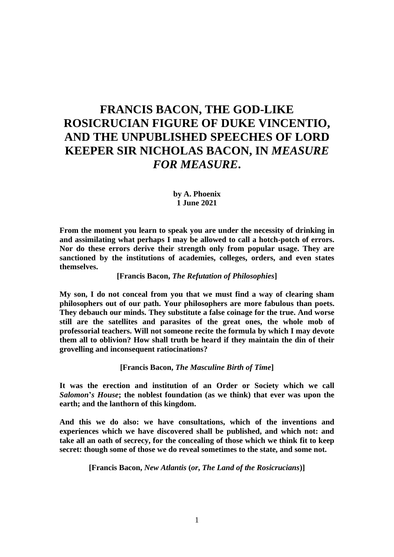# **FRANCIS BACON, THE GOD-LIKE ROSICRUCIAN FIGURE OF DUKE VINCENTIO, AND THE UNPUBLISHED SPEECHES OF LORD KEEPER SIR NICHOLAS BACON, IN** *MEASURE FOR MEASURE***.**

**by A. Phoenix 1 June 2021**

**From the moment you learn to speak you are under the necessity of drinking in and assimilating what perhaps I may be allowed to call a hotch-potch of errors. Nor do these errors derive their strength only from popular usage. They are sanctioned by the institutions of academies, colleges, orders, and even states themselves.**

**[Francis Bacon,** *The Refutation of Philosophies***]**

**My son, I do not conceal from you that we must find a way of clearing sham philosophers out of our path. Your philosophers are more fabulous than poets. They debauch our minds. They substitute a false coinage for the true. And worse still are the satellites and parasites of the great ones, the whole mob of professorial teachers. Will not someone recite the formula by which I may devote them all to oblivion? How shall truth be heard if they maintain the din of their grovelling and inconsequent ratiocinations?**

**[Francis Bacon,** *The Masculine Birth of Time***]**

**It was the erection and institution of an Order or Society which we call**  *Salomon***'***s House***; the noblest foundation (as we think) that ever was upon the earth; and the lanthorn of this kingdom.** 

**And this we do also: we have consultations, which of the inventions and experiences which we have discovered shall be published, and which not: and take all an oath of secrecy, for the concealing of those which we think fit to keep secret: though some of those we do reveal sometimes to the state, and some not.**

**[Francis Bacon,** *New Atlantis* **(***or***,** *The Land of the Rosicrucians***)]**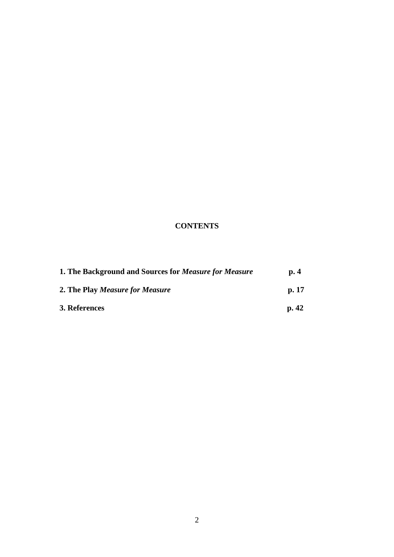# **CONTENTS**

| 1. The Background and Sources for <i>Measure for Measure</i> | $\mathbf{p}$ . 4 |
|--------------------------------------------------------------|------------------|
| 2. The Play Measure for Measure                              | p.17             |
| 3. References                                                | p.42             |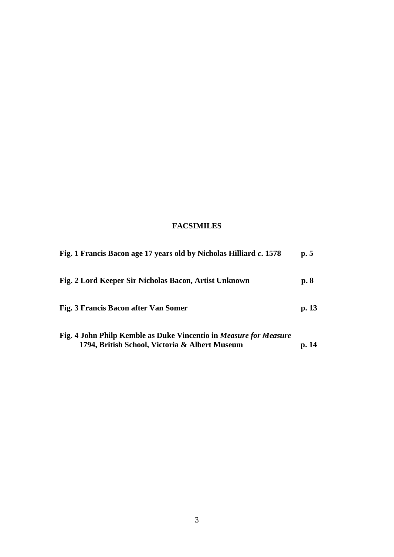## **FACSIMILES**

| Fig. 1 Francis Bacon age 17 years old by Nicholas Hilliard c. 1578                                                         | p. 5  |
|----------------------------------------------------------------------------------------------------------------------------|-------|
| Fig. 2 Lord Keeper Sir Nicholas Bacon, Artist Unknown                                                                      | p. 8  |
| Fig. 3 Francis Bacon after Van Somer                                                                                       | p. 13 |
| Fig. 4 John Philp Kemble as Duke Vincentio in <i>Measure for Measure</i><br>1794, British School, Victoria & Albert Museum | p. 14 |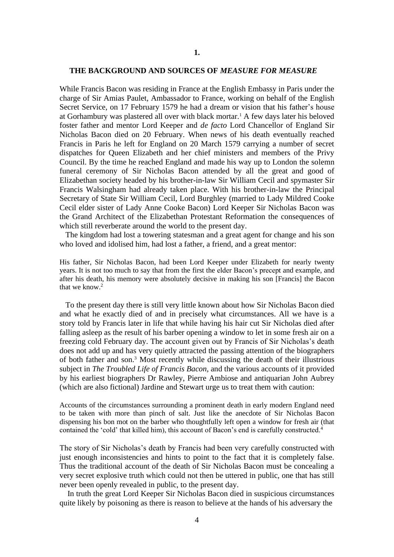#### **THE BACKGROUND AND SOURCES OF** *MEASURE FOR MEASURE*

While Francis Bacon was residing in France at the English Embassy in Paris under the charge of Sir Amias Paulet, Ambassador to France, working on behalf of the English Secret Service, on 17 February 1579 he had a dream or vision that his father's house at Gorhambury was plastered all over with black mortar.<sup>1</sup> A few days later his beloved foster father and mentor Lord Keeper and *de facto* Lord Chancellor of England Sir Nicholas Bacon died on 20 February. When news of his death eventually reached Francis in Paris he left for England on 20 March 1579 carrying a number of secret dispatches for Queen Elizabeth and her chief ministers and members of the Privy Council. By the time he reached England and made his way up to London the solemn funeral ceremony of Sir Nicholas Bacon attended by all the great and good of Elizabethan society headed by his brother-in-law Sir William Cecil and spymaster Sir Francis Walsingham had already taken place. With his brother-in-law the Principal Secretary of State Sir William Cecil, Lord Burghley (married to Lady Mildred Cooke Cecil elder sister of Lady Anne Cooke Bacon) Lord Keeper Sir Nicholas Bacon was the Grand Architect of the Elizabethan Protestant Reformation the consequences of which still reverberate around the world to the present day.

 The kingdom had lost a towering statesman and a great agent for change and his son who loved and idolised him, had lost a father, a friend, and a great mentor:

His father, Sir Nicholas Bacon, had been Lord Keeper under Elizabeth for nearly twenty years. It is not too much to say that from the first the elder Bacon's precept and example, and after his death, his memory were absolutely decisive in making his son [Francis] the Bacon that we know.<sup>2</sup>

 To the present day there is still very little known about how Sir Nicholas Bacon died and what he exactly died of and in precisely what circumstances. All we have is a story told by Francis later in life that while having his hair cut Sir Nicholas died after falling asleep as the result of his barber opening a window to let in some fresh air on a freezing cold February day. The account given out by Francis of Sir Nicholas's death does not add up and has very quietly attracted the passing attention of the biographers of both father and son.<sup>3</sup> Most recently while discussing the death of their illustrious subject in *The Troubled Life of Francis Bacon*, and the various accounts of it provided by his earliest biographers Dr Rawley, Pierre Ambiose and antiquarian John Aubrey (which are also fictional) Jardine and Stewart urge us to treat them with caution:

Accounts of the circumstances surrounding a prominent death in early modern England need to be taken with more than pinch of salt. Just like the anecdote of Sir Nicholas Bacon dispensing his bon mot on the barber who thoughtfully left open a window for fresh air (that contained the 'cold' that killed him), this account of Bacon's end is carefully constructed.<sup>4</sup>

The story of Sir Nicholas's death by Francis had been very carefully constructed with just enough inconsistencies and hints to point to the fact that it is completely false. Thus the traditional account of the death of Sir Nicholas Bacon must be concealing a very secret explosive truth which could not then be uttered in public, one that has still never been openly revealed in public, to the present day.

 In truth the great Lord Keeper Sir Nicholas Bacon died in suspicious circumstances quite likely by poisoning as there is reason to believe at the hands of his adversary the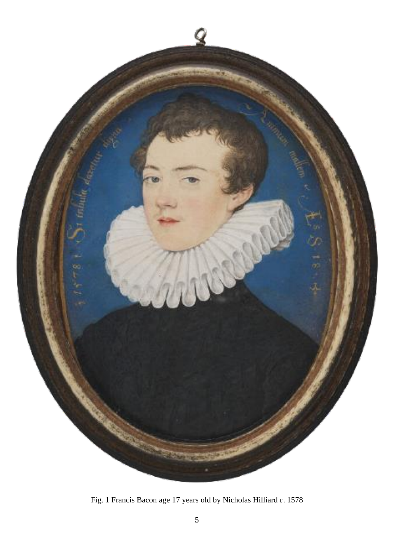

Fig. 1 Francis Bacon age 17 years old by Nicholas Hilliard *c*. 1578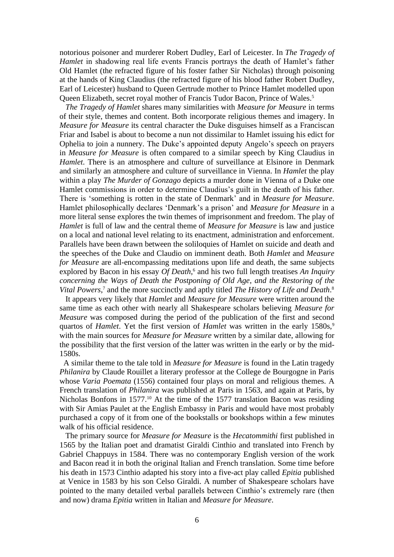notorious poisoner and murderer Robert Dudley, Earl of Leicester. In *The Tragedy of Hamlet* in shadowing real life events Francis portrays the death of Hamlet's father Old Hamlet (the refracted figure of his foster father Sir Nicholas) through poisoning at the hands of King Claudius (the refracted figure of his blood father Robert Dudley, Earl of Leicester) husband to Queen Gertrude mother to Prince Hamlet modelled upon Queen Elizabeth, secret royal mother of Francis Tudor Bacon, Prince of Wales.<sup>5</sup>

 *The Tragedy of Hamlet* shares many similarities with *Measure for Measure* in terms of their style, themes and content. Both incorporate religious themes and imagery. In *Measure for Measure* its central character the Duke disguises himself as a Franciscan Friar and Isabel is about to become a nun not dissimilar to Hamlet issuing his edict for Ophelia to join a nunnery. The Duke's appointed deputy Angelo's speech on prayers in *Measure for Measure* is often compared to a similar speech by King Claudius in *Hamlet*. There is an atmosphere and culture of surveillance at Elsinore in Denmark and similarly an atmosphere and culture of surveillance in Vienna. In *Hamlet* the play within a play *The Murder of Gonzago* depicts a murder done in Vienna of a Duke one Hamlet commissions in order to determine Claudius's guilt in the death of his father. There is 'something is rotten in the state of Denmark' and in *Measure for Measure*. Hamlet philosophically declares 'Denmark's a prison' and *Measure for Measure* in a more literal sense explores the twin themes of imprisonment and freedom. The play of *Hamlet* is full of law and the central theme of *Measure for Measure* is law and justice on a local and national level relating to its enactment, administration and enforcement. Parallels have been drawn between the soliloquies of Hamlet on suicide and death and the speeches of the Duke and Claudio on imminent death. Both *Hamlet* and *Measure for Measure* are all-encompassing meditations upon life and death, the same subjects explored by Bacon in his essay *Of Death*, <sup>6</sup> and his two full length treatises *An Inquiry concerning the Ways of Death the Postponing of Old Age*, *and the Restoring of the*  Vital Powers,<sup>7</sup> and the more succinctly and aptly titled *The History of Life and Death*.<sup>8</sup>

 It appears very likely that *Hamlet* and *Measure for Measure* were written around the same time as each other with nearly all Shakespeare scholars believing *Measure for Measure* was composed during the period of the publication of the first and second quartos of *Hamlet*. Yet the first version of *Hamlet* was written in the early 1580s,<sup>9</sup> with the main sources for *Measure for Measure* written by a similar date, allowing for the possibility that the first version of the latter was written in the early or by the mid-1580s.

 A similar theme to the tale told in *Measure for Measure* is found in the Latin tragedy *Philanira* by Claude Rouillet a literary professor at the College de Bourgogne in Paris whose *Varia Poemata* (1556) contained four plays on moral and religious themes. A French translation of *Philanira* was published at Paris in 1563, and again at Paris, by Nicholas Bonfons in 1577.<sup>10</sup> At the time of the 1577 translation Bacon was residing with Sir Amias Paulet at the English Embassy in Paris and would have most probably purchased a copy of it from one of the bookstalls or bookshops within a few minutes walk of his official residence.

 The primary source for *Measure for Measure* is the *Hecatommithi* first published in 1565 by the Italian poet and dramatist Giraldi Cinthio and translated into French by Gabriel Chappuys in 1584. There was no contemporary English version of the work and Bacon read it in both the original Italian and French translation. Some time before his death in 1573 Cinthio adapted his story into a five-act play called *Epitia* published at Venice in 1583 by his son Celso Giraldi. A number of Shakespeare scholars have pointed to the many detailed verbal parallels between Cinthio's extremely rare (then and now) drama *Epitia* written in Italian and *Measure for Measure*.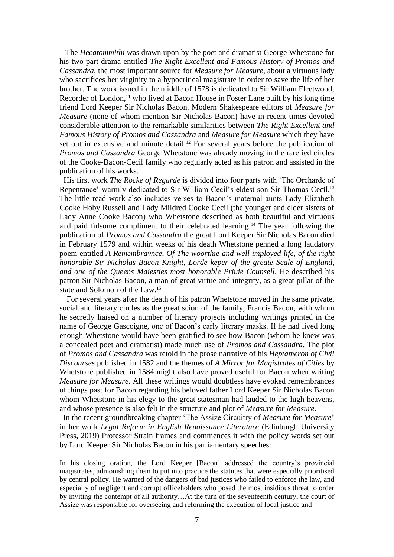The *Hecatommithi* was drawn upon by the poet and dramatist George Whetstone for his two-part drama entitled *The Right Excellent and Famous History of Promos and Cassandra*, the most important source for *Measure for Measure*, about a virtuous lady who sacrifices her virginity to a hypocritical magistrate in order to save the life of her brother. The work issued in the middle of 1578 is dedicated to Sir William Fleetwood, Recorder of London,<sup>11</sup> who lived at Bacon House in Foster Lane built by his long time friend Lord Keeper Sir Nicholas Bacon. Modern Shakespeare editors of *Measure for Measure* (none of whom mention Sir Nicholas Bacon) have in recent times devoted considerable attention to the remarkable similarities between *The Right Excellent and Famous History of Promos and Cassandra* and *Measure for Measure* which they have set out in extensive and minute detail.<sup>12</sup> For several years before the publication of *Promos and Cassandra* George Whetstone was already moving in the rarefied circles of the Cooke-Bacon-Cecil family who regularly acted as his patron and assisted in the publication of his works.

 His first work *The Rocke of Regarde* is divided into four parts with 'The Orcharde of Repentance' warmly dedicated to Sir William Cecil's eldest son Sir Thomas Cecil.<sup>13</sup> The little read work also includes verses to Bacon's maternal aunts Lady Elizabeth Cooke Hoby Russell and Lady Mildred Cooke Cecil (the younger and elder sisters of Lady Anne Cooke Bacon) who Whetstone described as both beautiful and virtuous and paid fulsome compliment to their celebrated learning.<sup>14</sup> The year following the publication of *Promos and Cassandra* the great Lord Keeper Sir Nicholas Bacon died in February 1579 and within weeks of his death Whetstone penned a long laudatory poem entitled *A Remembravnce*, *Of The woorthie and well imployed life*, *of the right honorable Sir Nicholas Bacon Knight*, *Lorde keper of the greate Seale of England*, *and one of the Queens Maiesties most honorable Priuie Counsell*. He described his patron Sir Nicholas Bacon, a man of great virtue and integrity, as a great pillar of the state and Solomon of the Law.<sup>15</sup>

 For several years after the death of his patron Whetstone moved in the same private, social and literary circles as the great scion of the family, Francis Bacon, with whom he secretly liaised on a number of literary projects including writings printed in the name of George Gascoigne, one of Bacon's early literary masks. If he had lived long enough Whetstone would have been gratified to see how Bacon (whom he knew was a concealed poet and dramatist) made much use of *Promos and Cassandra*. The plot of *Promos and Cassandra* was retold in the prose narrative of his *Heptameron of Civil Discourses* published in 1582 and the themes of *A Mirror for Magistrates of Cities* by Whetstone published in 1584 might also have proved useful for Bacon when writing *Measure for Measure*. All these writings would doubtless have evoked remembrances of things past for Bacon regarding his beloved father Lord Keeper Sir Nicholas Bacon whom Whetstone in his elegy to the great statesman had lauded to the high heavens, and whose presence is also felt in the structure and plot of *Measure for Measure*.

 In the recent groundbreaking chapter 'The Assize Circuitry of *Measure for Measure*' in her work *Legal Reform in English Renaissance Literature* (Edinburgh University Press, 2019) Professor Strain frames and commences it with the policy words set out by Lord Keeper Sir Nicholas Bacon in his parliamentary speeches:

In his closing oration, the Lord Keeper [Bacon] addressed the country's provincial magistrates, admonishing them to put into practice the statutes that were especially prioritised by central policy. He warned of the dangers of bad justices who failed to enforce the law, and especially of negligent and corrupt officeholders who posed the most insidious threat to order by inviting the contempt of all authority…At the turn of the seventeenth century, the court of Assize was responsible for overseeing and reforming the execution of local justice and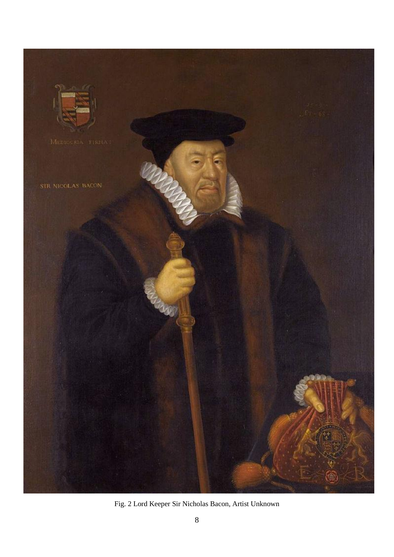

Fig. 2 Lord Keeper Sir Nicholas Bacon, Artist Unknown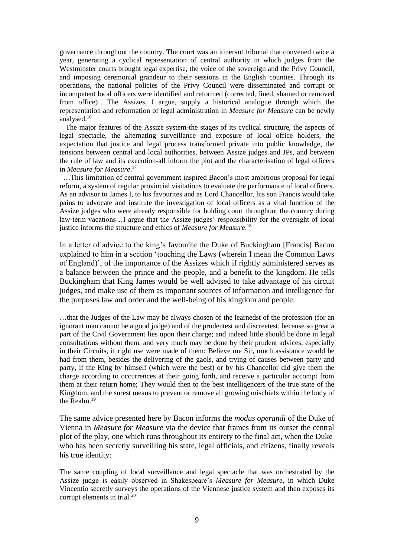governance throughout the country. The court was an itinerant tribunal that convened twice a year, generating a cyclical representation of central authority in which judges from the Westminster courts brought legal expertise, the voice of the sovereign and the Privy Council, and imposing ceremonial grandeur to their sessions in the English counties. Through its operations, the national policies of the Privy Council were disseminated and corrupt or incompetent local officers were identified and reformed (corrected, fined, shamed or removed from office)….The Assizes, I argue, supply a historical analogue through which the representation and reformation of legal administration in *Measure for Measure* can be newly analysed.<sup>16</sup>

 The major features of the Assize system-the stages of its cyclical structure, the aspects of legal spectacle, the alternating surveillance and exposure of local office holders, the expectation that justice and legal process transformed private into public knowledge, the tensions between central and local authorities, between Assize judges and JPs, and between the rule of law and its execution-all inform the plot and the characterisation of legal officers in *Measure for Measure*. 17

 …This limitation of central government inspired Bacon's most ambitious proposal for legal reform, a system of regular provincial visitations to evaluate the performance of local officers. As an advisor to James I, to his favourites and as Lord Chancellor, his son Francis would take pains to advocate and institute the investigation of local officers as a vital function of the Assize judges who were already responsible for holding court throughout the country during law-term vacations…I argue that the Assize judges' responsibility for the oversight of local justice informs the structure and ethics of *Measure for Measure*. 18

In a letter of advice to the king's favourite the Duke of Buckingham [Francis] Bacon explained to him in a section 'touching the Laws (wherein I mean the Common Laws of England)', of the importance of the Assizes which if rightly administered serves as a balance between the prince and the people, and a benefit to the kingdom. He tells Buckingham that King James would be well advised to take advantage of his circuit judges, and make use of them as important sources of information and intelligence for the purposes law and order and the well-being of his kingdom and people:

…that the Judges of the Law may be always chosen of the learnedst of the profession (for an ignorant man cannot be a good judge) and of the prudentest and discreetest, because so great a part of the Civil Government lies upon their charge; and indeed little should be done in legal consultations without them, and very much may be done by their prudent advices, especially in their Circuits, if right use were made of them: Believe me Sir, much assistance would be had from them, besides the delivering of the gaols, and trying of causes between party and party, if the King by himself (which were the best) or by his Chancellor did give them the charge according to occurrences at their going forth, and receive a particular accompt from them at their return home; They would then to the best intelligencers of the true state of the Kingdom, and the surest means to prevent or remove all growing mischiefs within the body of the Realm.<sup>19</sup>

The same advice presented here by Bacon informs the *modus operandi* of the Duke of Vienna in *Measure for Measure* via the device that frames from its outset the central plot of the play, one which runs throughout its entirety to the final act, when the Duke who has been secretly surveilling his state, legal officials, and citizens, finally reveals his true identity:

The same coupling of local surveillance and legal spectacle that was orchestrated by the Assize judge is easily observed in Shakespeare's *Measure for Measure*, in which Duke Vincentio secretly surveys the operations of the Viennese justice system and then exposes its corrupt elements in trial. $^{20}$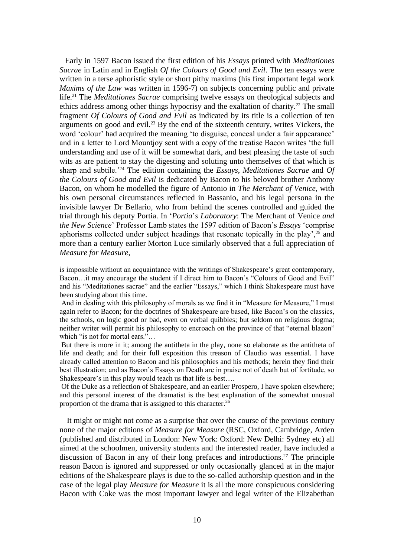Early in 1597 Bacon issued the first edition of his *Essays* printed with *Meditationes Sacrae* in Latin and in English *Of the Colours of Good and Evil*. The ten essays were written in a terse aphoristic style or short pithy maxims (his first important legal work *Maxims of the Law* was written in 1596-7) on subjects concerning public and private life.<sup>21</sup> The *Meditationes Sacrae* comprising twelve essays on theological subjects and ethics address among other things hypocrisy and the exaltation of charity.<sup>22</sup> The small fragment *Of Colours of Good and Evil* as indicated by its title is a collection of ten arguments on good and evil.<sup>23</sup> By the end of the sixteenth century, writes Vickers, the word 'colour' had acquired the meaning 'to disguise, conceal under a fair appearance' and in a letter to Lord Mountjoy sent with a copy of the treatise Bacon writes 'the full understanding and use of it will be somewhat dark, and best pleasing the taste of such wits as are patient to stay the digesting and soluting unto themselves of that which is sharp and subtile.'<sup>24</sup> The edition containing the *Essays*, *Meditationes Sacrae* and *Of the Colours of Good and Evil* is dedicated by Bacon to his beloved brother Anthony Bacon, on whom he modelled the figure of Antonio in *The Merchant of Venice*, with his own personal circumstances reflected in Bassanio, and his legal persona in the invisible lawyer Dr Bellario, who from behind the scenes controlled and guided the trial through his deputy Portia. In '*Portia*'*s Laboratory*: The Merchant of Venice *and the New Science*' Professor Lamb states the 1597 edition of Bacon's *Essays* 'comprise aphorisms collected under subject headings that resonate topically in the play',<sup>25</sup> and more than a century earlier Morton Luce similarly observed that a full appreciation of *Measure for Measure*,

is impossible without an acquaintance with the writings of Shakespeare's great contemporary, Bacon…it may encourage the student if I direct him to Bacon's "Colours of Good and Evil" and his "Meditationes sacrae" and the earlier "Essays," which I think Shakespeare must have been studying about this time.

And in dealing with this philosophy of morals as we find it in "Measure for Measure," I must again refer to Bacon; for the doctrines of Shakespeare are based, like Bacon's on the classics, the schools, on logic good or bad, even on verbal quibbles; but seldom on religious dogma; neither writer will permit his philosophy to encroach on the province of that "eternal blazon" which "is not for mortal ears."…

But there is more in it; among the antitheta in the play, none so elaborate as the antitheta of life and death; and for their full exposition this treason of Claudio was essential. I have already called attention to Bacon and his philosophies and his methods; herein they find their best illustration; and as Bacon's Essays on Death are in praise not of death but of fortitude, so Shakespeare's in this play would teach us that life is best….

Of the Duke as a reflection of Shakespeare, and an earlier Prospero, I have spoken elsewhere; and this personal interest of the dramatist is the best explanation of the somewhat unusual proportion of the drama that is assigned to this character.<sup>26</sup>

 It might or might not come as a surprise that over the course of the previous century none of the major editions of *Measure for Measure* (RSC, Oxford, Cambridge, Arden (published and distributed in London: New York: Oxford: New Delhi: Sydney etc) all aimed at the schoolmen, university students and the interested reader, have included a discussion of Bacon in any of their long prefaces and introductions.<sup>27</sup> The principle reason Bacon is ignored and suppressed or only occasionally glanced at in the major editions of the Shakespeare plays is due to the so-called authorship question and in the case of the legal play *Measure for Measure* it is all the more conspicuous considering Bacon with Coke was the most important lawyer and legal writer of the Elizabethan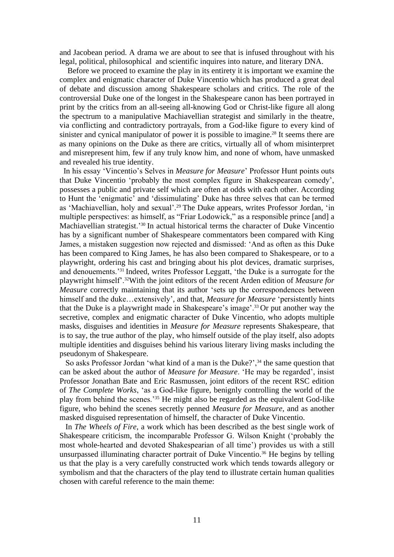and Jacobean period. A drama we are about to see that is infused throughout with his legal, political, philosophical and scientific inquires into nature, and literary DNA.

 Before we proceed to examine the play in its entirety it is important we examine the complex and enigmatic character of Duke Vincentio which has produced a great deal of debate and discussion among Shakespeare scholars and critics. The role of the controversial Duke one of the longest in the Shakespeare canon has been portrayed in print by the critics from an all-seeing all-knowing God or Christ-like figure all along the spectrum to a manipulative Machiavellian strategist and similarly in the theatre, via conflicting and contradictory portrayals, from a God-like figure to every kind of sinister and cynical manipulator of power it is possible to imagine.<sup>28</sup> It seems there are as many opinions on the Duke as there are critics, virtually all of whom misinterpret and misrepresent him, few if any truly know him, and none of whom, have unmasked and revealed his true identity.

In his essay 'Vincentio's Selves in *Measure for Measure*' Professor Hunt points outs that Duke Vincentio 'probably the most complex figure in Shakespearean comedy', possesses a public and private self which are often at odds with each other. According to Hunt the 'enigmatic' and 'dissimulating' Duke has three selves that can be termed as 'Machiavellian, holy and sexual'.<sup>29</sup> The Duke appears, writes Professor Jordan, 'in multiple perspectives: as himself, as "Friar Lodowick," as a responsible prince [and] a Machiavellian strategist.<sup>'30</sup> In actual historical terms the character of Duke Vincentio has by a significant number of Shakespeare commentators been compared with King James, a mistaken suggestion now rejected and dismissed: 'And as often as this Duke has been compared to King James, he has also been compared to Shakespeare, or to a playwright, ordering his cast and bringing about his plot devices, dramatic surprises, and denouements.'<sup>31</sup> Indeed, writes Professor Leggatt, 'the Duke is a surrogate for the playwright himself'.32With the joint editors of the recent Arden edition of *Measure for Measure* correctly maintaining that its author 'sets up the correspondences between himself and the duke…extensively', and that, *Measure for Measure* 'persistently hints that the Duke is a playwright made in Shakespeare's image'.<sup>33</sup> Or put another way the secretive, complex and enigmatic character of Duke Vincentio, who adopts multiple masks, disguises and identities in *Measure for Measure* represents Shakespeare, that is to say, the true author of the play, who himself outside of the play itself, also adopts multiple identities and disguises behind his various literary living masks including the pseudonym of Shakespeare.

So asks Professor Jordan 'what kind of a man is the Duke?',<sup>34</sup> the same question that can be asked about the author of *Measure for Measure*. 'He may be regarded', insist Professor Jonathan Bate and Eric Rasmussen, joint editors of the recent RSC edition of *The Complete Works*, 'as a God-like figure, benignly controlling the world of the play from behind the scenes.'<sup>35</sup> He might also be regarded as the equivalent God-like figure, who behind the scenes secretly penned *Measure for Measure*, and as another masked disguised representation of himself, the character of Duke Vincentio.

 In *The Wheels of Fire*, a work which has been described as the best single work of Shakespeare criticism, the incomparable Professor G. Wilson Knight ('probably the most whole-hearted and devoted Shakespearian of all time') provides us with a still unsurpassed illuminating character portrait of Duke Vincentio.<sup>36</sup> He begins by telling us that the play is a very carefully constructed work which tends towards allegory or symbolism and that the characters of the play tend to illustrate certain human qualities chosen with careful reference to the main theme: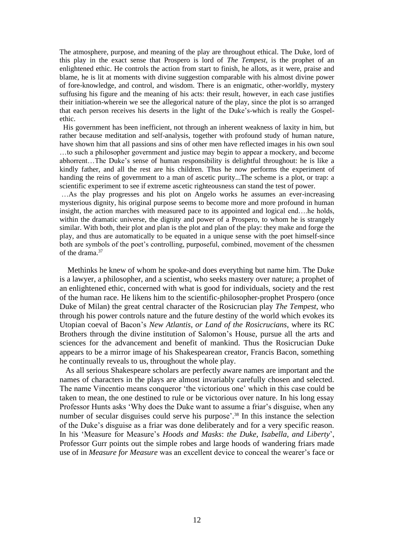The atmosphere, purpose, and meaning of the play are throughout ethical. The Duke, lord of this play in the exact sense that Prospero is lord of *The Tempest*, is the prophet of an enlightened ethic. He controls the action from start to finish, he allots, as it were, praise and blame, he is lit at moments with divine suggestion comparable with his almost divine power of fore-knowledge, and control, and wisdom. There is an enigmatic, other-worldly, mystery suffusing his figure and the meaning of his acts: their result, however, in each case justifies their initiation-wherein we see the allegorical nature of the play, since the plot is so arranged that each person receives his deserts in the light of the Duke's-which is really the Gospelethic.

 His government has been inefficient, not through an inherent weakness of laxity in him, but rather because meditation and self-analysis, together with profound study of human nature, have shown him that all passions and sins of other men have reflected images in his own soul …to such a philosopher government and justice may begin to appear a mockery, and become abhorrent…The Duke's sense of human responsibility is delightful throughout: he is like a kindly father, and all the rest are his children. Thus he now performs the experiment of handing the reins of government to a man of ascetic purity...The scheme is a plot, or trap: a scientific experiment to see if extreme ascetic righteousness can stand the test of power.

…As the play progresses and his plot on Angelo works he assumes an ever-increasing mysterious dignity, his original purpose seems to become more and more profound in human insight, the action marches with measured pace to its appointed and logical end….he holds, within the dramatic universe, the dignity and power of a Prospero, to whom he is strangely similar. With both, their plot and plan is the plot and plan of the play: they make and forge the play, and thus are automatically to be equated in a unique sense with the poet himself-since both are symbols of the poet's controlling, purposeful, combined, movement of the chessmen of the drama. 37

 Methinks he knew of whom he spoke-and does everything but name him. The Duke is a lawyer, a philosopher, and a scientist, who seeks mastery over nature; a prophet of an enlightened ethic, concerned with what is good for individuals, society and the rest of the human race. He likens him to the scientific-philosopher-prophet Prospero (once Duke of Milan) the great central character of the Rosicrucian play *The Tempest*, who through his power controls nature and the future destiny of the world which evokes its Utopian coeval of Bacon's *New Atlantis*, *or Land of the Rosicrucians*, where its RC Brothers through the divine institution of Salomon's House, pursue all the arts and sciences for the advancement and benefit of mankind. Thus the Rosicrucian Duke appears to be a mirror image of his Shakespearean creator, Francis Bacon, something he continually reveals to us, throughout the whole play.

 As all serious Shakespeare scholars are perfectly aware names are important and the names of characters in the plays are almost invariably carefully chosen and selected. The name Vincentio means conqueror 'the victorious one' which in this case could be taken to mean, the one destined to rule or be victorious over nature. In his long essay Professor Hunts asks 'Why does the Duke want to assume a friar's disguise, when any number of secular disguises could serve his purpose'.<sup>38</sup> In this instance the selection of the Duke's disguise as a friar was done deliberately and for a very specific reason. In his 'Measure for Measure's *Hoods and Masks*: *the Duke*, *Isabella*, *and Liberty*', Professor Gurr points out the simple robes and large hoods of wandering friars made use of in *Measure for Measure* was an excellent device to conceal the wearer's face or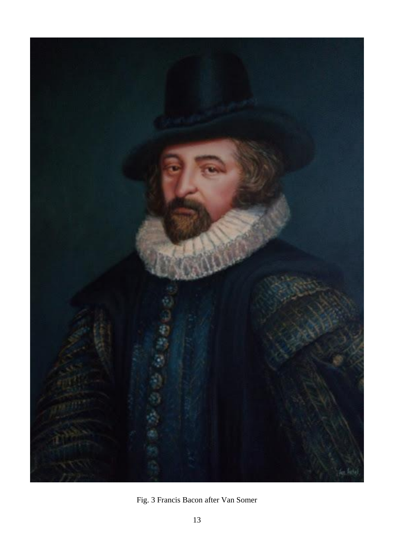

Fig. 3 Francis Bacon after Van Somer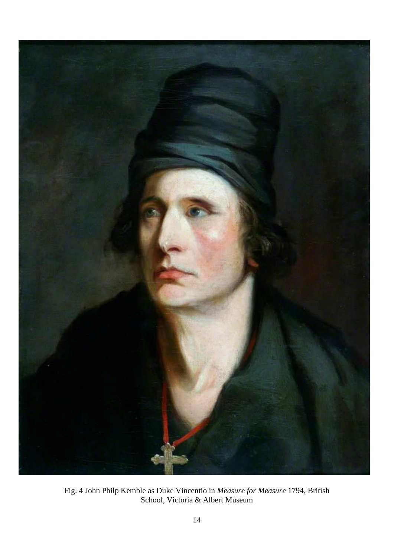

Fig. 4 John Philp Kemble as Duke Vincentio in *Measure for Measure* 1794, British School, Victoria & Albert Museum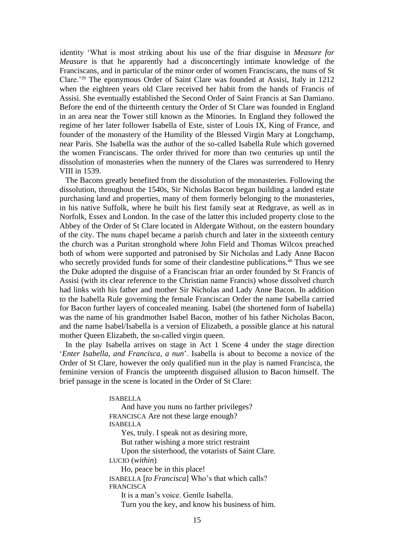identity 'What is most striking about his use of the friar disguise in *Measure for Measure* is that he apparently had a disconcertingly intimate knowledge of the Franciscans, and in particular of the minor order of women Franciscans, the nuns of St Clare.'<sup>39</sup> The eponymous Order of Saint Clare was founded at Assisi, Italy in 1212 when the eighteen years old Clare received her habit from the hands of Francis of Assisi. She eventually established the Second Order of Saint Francis at San Damiano. Before the end of the thirteenth century the Order of St Clare was founded in England in an area near the Tower still known as the Minories. In England they followed the regime of her later follower Isabella of Este, sister of Louis IX, King of France, and founder of the monastery of the Humility of the Blessed Virgin Mary at Longchamp, near Paris. She Isabella was the author of the so-called Isabella Rule which governed the women Franciscans. The order thrived for more than two centuries up until the dissolution of monasteries when the nunnery of the Clares was surrendered to Henry VIII in 1539.

 The Bacons greatly benefited from the dissolution of the monasteries. Following the dissolution, throughout the 1540s, Sir Nicholas Bacon began building a landed estate purchasing land and properties, many of them formerly belonging to the monasteries, in his native Suffolk, where he built his first family seat at Redgrave, as well as in Norfolk, Essex and London. In the case of the latter this included property close to the Abbey of the Order of St Clare located in Aldergate Without, on the eastern boundary of the city. The nuns chapel became a parish church and later in the sixteenth century the church was a Puritan stronghold where John Field and Thomas Wilcox preached both of whom were supported and patronised by Sir Nicholas and Lady Anne Bacon who secretly provided funds for some of their clandestine publications.<sup>40</sup> Thus we see the Duke adopted the disguise of a Franciscan friar an order founded by St Francis of Assisi (with its clear reference to the Christian name Francis) whose dissolved church had links with his father and mother Sir Nicholas and Lady Anne Bacon. In addition to the Isabella Rule governing the female Franciscan Order the name Isabella carried for Bacon further layers of concealed meaning. Isabel (the shortened form of Isabella) was the name of his grandmother Isabel Bacon, mother of his father Nicholas Bacon, and the name Isabel/Isabella is a version of Elizabeth, a possible glance at his natural mother Queen Elizabeth, the so-called virgin queen.

 In the play Isabella arrives on stage in Act 1 Scene 4 under the stage direction '*Enter Isabella*, *and Francisca*, *a nun*'. Isabella is about to become a novice of the Order of St Clare, however the only qualified nun in the play is named Francisca, the feminine version of Francis the umpteenth disguised allusion to Bacon himself. The brief passage in the scene is located in the Order of St Clare:

> ISABELLA And have you nuns no farther privileges? FRANCISCA Are not these large enough? ISABELLA Yes, truly. I speak not as desiring more, But rather wishing a more strict restraint Upon the sisterhood, the votarists of Saint Clare. LUCIO (*within*) Ho, peace be in this place! ISABELLA [*to Francisca*] Who's that which calls? FRANCISCA It is a man's voice. Gentle Isabella. Turn you the key, and know his business of him.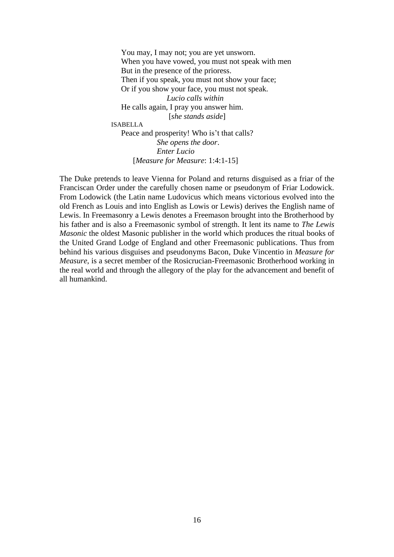You may, I may not; you are yet unsworn. When you have vowed, you must not speak with men But in the presence of the prioress. Then if you speak, you must not show your face; Or if you show your face, you must not speak. *Lucio calls within*  He calls again, I pray you answer him. [*she stands aside*]

ISABELLA

 Peace and prosperity! Who is't that calls? *She opens the door*. *Enter Lucio* [*Measure for Measure*: 1:4:1-15]

The Duke pretends to leave Vienna for Poland and returns disguised as a friar of the Franciscan Order under the carefully chosen name or pseudonym of Friar Lodowick. From Lodowick (the Latin name Ludovicus which means victorious evolved into the old French as Louis and into English as Lowis or Lewis) derives the English name of Lewis. In Freemasonry a Lewis denotes a Freemason brought into the Brotherhood by his father and is also a Freemasonic symbol of strength. It lent its name to *The Lewis Masonic* the oldest Masonic publisher in the world which produces the ritual books of the United Grand Lodge of England and other Freemasonic publications. Thus from behind his various disguises and pseudonyms Bacon, Duke Vincentio in *Measure for Measure*, is a secret member of the Rosicrucian-Freemasonic Brotherhood working in the real world and through the allegory of the play for the advancement and benefit of all humankind.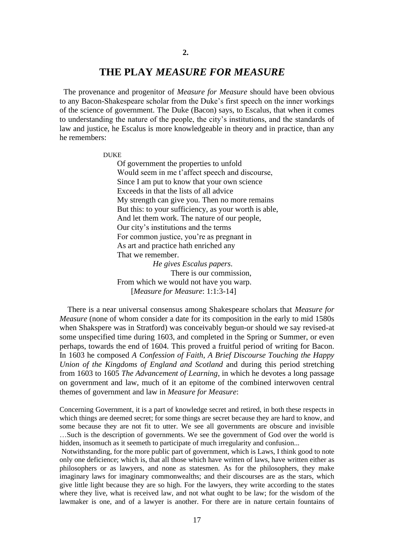### **THE PLAY** *MEASURE FOR MEASURE*

 The provenance and progenitor of *Measure for Measure* should have been obvious to any Bacon-Shakespeare scholar from the Duke's first speech on the inner workings of the science of government. The Duke (Bacon) says, to Escalus, that when it comes to understanding the nature of the people, the city's institutions, and the standards of law and justice, he Escalus is more knowledgeable in theory and in practice, than any he remembers:

#### DUKE

 Of government the properties to unfold Would seem in me t'affect speech and discourse, Since I am put to know that your own science Exceeds in that the lists of all advice My strength can give you. Then no more remains But this: to your sufficiency, as your worth is able, And let them work. The nature of our people, Our city's institutions and the terms For common justice, you're as pregnant in As art and practice hath enriched any That we remember. *He gives Escalus papers*. There is our commission,

 From which we would not have you warp. [*Measure for Measure*: 1:1:3-14]

 There is a near universal consensus among Shakespeare scholars that *Measure for Measure* (none of whom consider a date for its composition in the early to mid 1580s when Shakspere was in Stratford) was conceivably begun-or should we say revised-at some unspecified time during 1603, and completed in the Spring or Summer, or even perhaps, towards the end of 1604. This proved a fruitful period of writing for Bacon. In 1603 he composed *A Confession of Faith*, *A Brief Discourse Touching the Happy Union of the Kingdoms of England and Scotland* and during this period stretching from 1603 to 1605 *The Advancement of Learning*, in which he devotes a long passage on government and law, much of it an epitome of the combined interwoven central themes of government and law in *Measure for Measure*:

Concerning Government, it is a part of knowledge secret and retired, in both these respects in which things are deemed secret; for some things are secret because they are hard to know, and some because they are not fit to utter. We see all governments are obscure and invisible …Such is the description of governments. We see the government of God over the world is hidden, insomuch as it seemeth to participate of much irregularity and confusion...

Notwithstanding, for the more public part of government, which is Laws, I think good to note only one deficience; which is, that all those which have written of laws, have written either as philosophers or as lawyers, and none as statesmen. As for the philosophers, they make imaginary laws for imaginary commonwealths; and their discourses are as the stars, which give little light because they are so high. For the lawyers, they write according to the states where they live, what is received law, and not what ought to be law; for the wisdom of the lawmaker is one, and of a lawyer is another. For there are in nature certain fountains of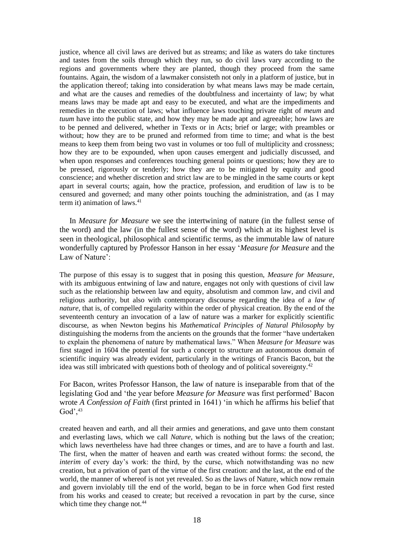justice, whence all civil laws are derived but as streams; and like as waters do take tinctures and tastes from the soils through which they run, so do civil laws vary according to the regions and governments where they are planted, though they proceed from the same fountains. Again, the wisdom of a lawmaker consisteth not only in a platform of justice, but in the application thereof; taking into consideration by what means laws may be made certain, and what are the causes and remedies of the doubtfulness and incertainty of law; by what means laws may be made apt and easy to be executed, and what are the impediments and remedies in the execution of laws; what influence laws touching private right of *meum* and *tuum* have into the public state, and how they may be made apt and agreeable; how laws are to be penned and delivered, whether in Texts or in Acts; brief or large; with preambles or without; how they are to be pruned and reformed from time to time; and what is the best means to keep them from being two vast in volumes or too full of multiplicity and crossness; how they are to be expounded, when upon causes emergent and judicially discussed, and when upon responses and conferences touching general points or questions; how they are to be pressed, rigorously or tenderly; how they are to be mitigated by equity and good conscience; and whether discretion and strict law are to be mingled in the same courts or kept apart in several courts; again, how the practice, profession, and erudition of law is to be censured and governed; and many other points touching the administration, and (as I may term it) animation of laws. 41

 In *Measure for Measure* we see the intertwining of nature (in the fullest sense of the word) and the law (in the fullest sense of the word) which at its highest level is seen in theological, philosophical and scientific terms, as the immutable law of nature wonderfully captured by Professor Hanson in her essay '*Measure for Measure* and the Law of Nature':

The purpose of this essay is to suggest that in posing this question, *Measure for Measure*, with its ambiguous entwining of law and nature, engages not only with questions of civil law such as the relationship between law and equity, absolutism and common law, and civil and religious authority, but also with contemporary discourse regarding the idea of a *law of nature*, that is, of compelled regularity within the order of physical creation. By the end of the seventeenth century an invocation of a law of nature was a marker for explicitly scientific discourse, as when Newton begins his *Mathematical Principles of Natural Philosophy* by distinguishing the moderns from the ancients on the grounds that the former "have undertaken to explain the phenomena of nature by mathematical laws." When *Measure for Measure* was first staged in 1604 the potential for such a concept to structure an autonomous domain of scientific inquiry was already evident, particularly in the writings of Francis Bacon, but the idea was still imbricated with questions both of theology and of political sovereignty.<sup>42</sup>

For Bacon, writes Professor Hanson, the law of nature is inseparable from that of the legislating God and 'the year before *Measure for Measure* was first performed' Bacon wrote *A Confession of Faith* (first printed in 1641) 'in which he affirms his belief that  $God', ^{43}$ 

created heaven and earth, and all their armies and generations, and gave unto them constant and everlasting laws, which we call *Nature*, which is nothing but the laws of the creation; which laws nevertheless have had three changes or times, and are to have a fourth and last. The first, when the matter of heaven and earth was created without forms: the second, the *interim* of every day's work: the third, by the curse, which notwithstanding was no new creation, but a privation of part of the virtue of the first creation: and the last, at the end of the world, the manner of whereof is not yet revealed. So as the laws of Nature, which now remain and govern inviolably till the end of the world, began to be in force when God first rested from his works and ceased to create; but received a revocation in part by the curse, since which time they change not.<sup>44</sup>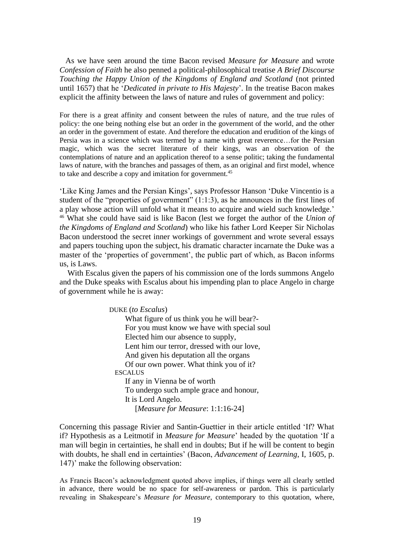As we have seen around the time Bacon revised *Measure for Measure* and wrote *Confession of Faith* he also penned a political-philosophical treatise *A Brief Discourse Touching the Happy Union of the Kingdoms of England and Scotland* (not printed until 1657) that he '*Dedicated in private to His Majesty*'. In the treatise Bacon makes explicit the affinity between the laws of nature and rules of government and policy:

For there is a great affinity and consent between the rules of nature, and the true rules of policy: the one being nothing else but an order in the government of the world, and the other an order in the government of estate. And therefore the education and erudition of the kings of Persia was in a science which was termed by a name with great reverence…for the Persian magic, which was the secret literature of their kings, was an observation of the contemplations of nature and an application thereof to a sense politic; taking the fundamental laws of nature, with the branches and passages of them, as an original and first model, whence to take and describe a copy and imitation for government.<sup>45</sup>

'Like King James and the Persian Kings', says Professor Hanson 'Duke Vincentio is a student of the "properties of government" (1:1:3), as he announces in the first lines of a play whose action will unfold what it means to acquire and wield such knowledge.' <sup>46</sup> What she could have said is like Bacon (lest we forget the author of the *Union of the Kingdoms of England and Scotland*) who like his father Lord Keeper Sir Nicholas Bacon understood the secret inner workings of government and wrote several essays and papers touching upon the subject, his dramatic character incarnate the Duke was a master of the 'properties of government', the public part of which, as Bacon informs us, is Laws.

 With Escalus given the papers of his commission one of the lords summons Angelo and the Duke speaks with Escalus about his impending plan to place Angelo in charge of government while he is away:

DUKE (*to Escalus*)

 What figure of us think you he will bear?- For you must know we have with special soul Elected him our absence to supply, Lent him our terror, dressed with our love, And given his deputation all the organs Of our own power. What think you of it? **ESCALUS**  If any in Vienna be of worth To undergo such ample grace and honour, It is Lord Angelo. [*Measure for Measure*: 1:1:16-24]

Concerning this passage Rivier and Santin-Guettier in their article entitled 'If? What if? Hypothesis as a Leitmotif in *Measure for Measure*' headed by the quotation 'If a man will begin in certainties, he shall end in doubts; But if he will be content to begin with doubts, he shall end in certainties' (Bacon, *Advancement of Learning*, I, 1605, p. 147)' make the following observation:

As Francis Bacon's acknowledgment quoted above implies, if things were all clearly settled in advance, there would be no space for self-awareness or pardon. This is particularly revealing in Shakespeare's *Measure for Measure*, contemporary to this quotation, where,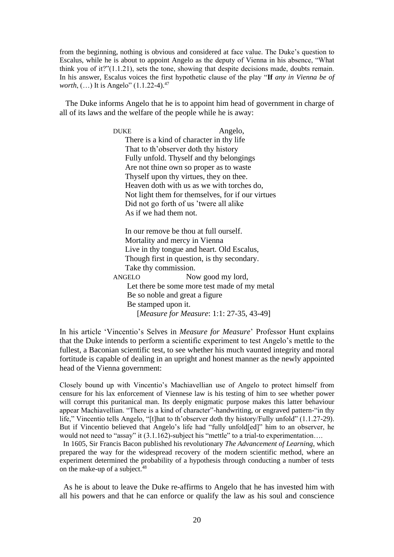from the beginning, nothing is obvious and considered at face value. The Duke's question to Escalus, while he is about to appoint Angelo as the deputy of Vienna in his absence, "What think you of it?"(1.1.21), sets the tone, showing that despite decisions made, doubts remain. In his answer, Escalus voices the first hypothetic clause of the play "**If** *any in Vienna be of worth*, (...) It is Angelo" (1.1.22-4).<sup>47</sup>

 The Duke informs Angelo that he is to appoint him head of government in charge of all of its laws and the welfare of the people while he is away:

> DUKE Angelo, There is a kind of character in thy life That to th'observer doth thy history Fully unfold. Thyself and thy belongings Are not thine own so proper as to waste Thyself upon thy virtues, they on thee. Heaven doth with us as we with torches do, Not light them for themselves, for if our virtues Did not go forth of us 'twere all alike As if we had them not.

> In our remove be thou at full ourself. Mortality and mercy in Vienna Live in thy tongue and heart. Old Escalus, Though first in question, is thy secondary. Take thy commission. ANGELO Now good my lord, Let there be some more test made of my metal Be so noble and great a figure Be stamped upon it. [*Measure for Measure*: 1:1: 27-35, 43-49]

In his article 'Vincentio's Selves in *Measure for Measure*' Professor Hunt explains that the Duke intends to perform a scientific experiment to test Angelo's mettle to the fullest, a Baconian scientific test, to see whether his much vaunted integrity and moral fortitude is capable of dealing in an upright and honest manner as the newly appointed head of the Vienna government:

Closely bound up with Vincentio's Machiavellian use of Angelo to protect himself from censure for his lax enforcement of Viennese law is his testing of him to see whether power will corrupt this puritanical man. Its deeply enigmatic purpose makes this latter behaviour appear Machiavellian. "There is a kind of character"-handwriting, or engraved pattern-"in thy life," Vincentio tells Angelo, "[t]hat to th'observer doth thy history/Fully unfold" (1.1.27-29). But if Vincentio believed that Angelo's life had "fully unfold[ed]" him to an observer, he would not need to "assay" it (3.1.162)-subject his "mettle" to a trial-to experimentation....

 In 1605, Sir Francis Bacon published his revolutionary *The Advancement of Learning*, which prepared the way for the widespread recovery of the modern scientific method, where an experiment determined the probability of a hypothesis through conducting a number of tests on the make-up of a subject. $48$ 

 As he is about to leave the Duke re-affirms to Angelo that he has invested him with all his powers and that he can enforce or qualify the law as his soul and conscience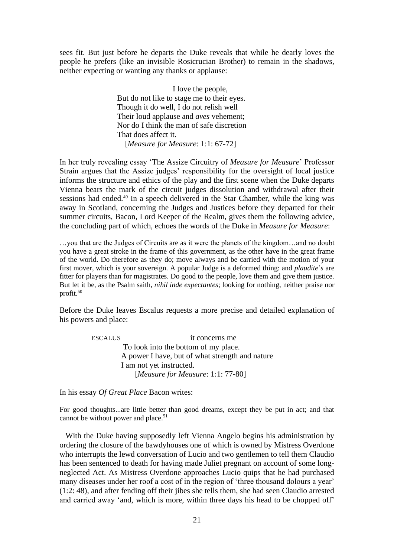sees fit. But just before he departs the Duke reveals that while he dearly loves the people he prefers (like an invisible Rosicrucian Brother) to remain in the shadows, neither expecting or wanting any thanks or applause:

> I love the people, But do not like to stage me to their eyes. Though it do well, I do not relish well Their loud applause and *aves* vehement; Nor do I think the man of safe discretion That does affect it. [*Measure for Measure*: 1:1: 67-72]

In her truly revealing essay 'The Assize Circuitry of *Measure for Measure*' Professor Strain argues that the Assize judges' responsibility for the oversight of local justice informs the structure and ethics of the play and the first scene when the Duke departs Vienna bears the mark of the circuit judges dissolution and withdrawal after their sessions had ended.<sup>49</sup> In a speech delivered in the Star Chamber, while the king was away in Scotland, concerning the Judges and Justices before they departed for their summer circuits, Bacon, Lord Keeper of the Realm, gives them the following advice, the concluding part of which, echoes the words of the Duke in *Measure for Measure*:

…you that are the Judges of Circuits are as it were the planets of the kingdom…and no doubt you have a great stroke in the frame of this government, as the other have in the great frame of the world. Do therefore as they do; move always and be carried with the motion of your first mover, which is your sovereign. A popular Judge is a deformed thing: and *plaudite*'*s* are fitter for players than for magistrates. Do good to the people, love them and give them justice. But let it be, as the Psalm saith, *nihil inde expectantes*; looking for nothing, neither praise nor profit.<sup>50</sup>

Before the Duke leaves Escalus requests a more precise and detailed explanation of his powers and place:

| <b>ESCALUS</b>                                  | it concerns me                       |
|-------------------------------------------------|--------------------------------------|
|                                                 | To look into the bottom of my place. |
| A power I have, but of what strength and nature |                                      |
|                                                 | I am not yet instructed.             |
|                                                 | [Measure for Measure: 1:1: 77-80]    |

In his essay *Of Great Place* Bacon writes:

For good thoughts...are little better than good dreams, except they be put in act; and that cannot be without power and place.<sup>51</sup>

 With the Duke having supposedly left Vienna Angelo begins his administration by ordering the closure of the bawdyhouses one of which is owned by Mistress Overdone who interrupts the lewd conversation of Lucio and two gentlemen to tell them Claudio has been sentenced to death for having made Juliet pregnant on account of some longneglected Act. As Mistress Overdone approaches Lucio quips that he had purchased many diseases under her roof a cost of in the region of 'three thousand dolours a year' (1:2: 48), and after fending off their jibes she tells them, she had seen Claudio arrested and carried away 'and, which is more, within three days his head to be chopped off'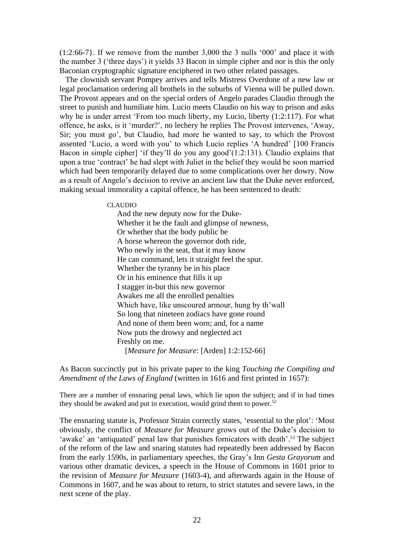(1:2:66-7}. If we remove from the number 3,000 the 3 nulls '000' and place it with the number 3 ('three days') it yields 33 Bacon in simple cipher and nor is this the only Baconian cryptographic signature enciphered in two other related passages.

 The clownish servant Pompey arrives and tells Mistress Overdone of a new law or legal proclamation ordering all brothels in the suburbs of Vienna will be pulled down. The Provost appears and on the special orders of Angelo parades Claudio through the street to punish and humiliate him. Lucio meets Claudio on his way to prison and asks why he is under arrest 'From too much liberty, my Lucio, liberty (1:2:117). For what offence, he asks, is it 'murder?', no lechery he replies The Provost intervenes, 'Away, Sir; you must go', but Claudio, had more he wanted to say, to which the Provost assented 'Lucio, a word with you' to which Lucio replies 'A hundred' [100 Francis Bacon in simple cipher] 'if they'll do you any good'(1:2:131). Claudio explains that upon a true 'contract' he had slept with Juliet in the belief they would be soon married which had been temporarily delayed due to some complications over her dowry. Now as a result of Angelo's decision to revive an ancient law that the Duke never enforced, making sexual immorality a capital offence, he has been sentenced to death:

#### CLAUDIO

 And the new deputy now for the Duke- Whether it be the fault and glimpse of newness, Or whether that the body public be A horse whereon the governor doth ride, Who newly in the seat, that it may know He can command, lets it straight feel the spur. Whether the tyranny be in his place Or in his eminence that fills it up I stagger in-but this new governor Awakes me all the enrolled penalties Which have, like unscoured armour, hung by th'wall So long that nineteen zodiacs have gone round And none of them been worn; and, for a name Now puts the drowsy and neglected act Freshly on me. [*Measure for Measure*: [Arden] 1:2:152-66]

As Bacon succinctly put in his private paper to the king *Touching the Compiling and Amendment of the Laws of England* (written in 1616 and first printed in 1657):

There are a number of ensnaring penal laws, which lie upon the subject; and if in bad times they should be awaked and put in execution, would grind them to power.<sup>52</sup>

The ensnaring statute is, Professor Strain correctly states, 'essential to the plot': 'Most obviously, the conflict of *Measure for Measure* grows out of the Duke's decision to 'awake' an 'antiquated' penal law that punishes fornicators with death'.<sup>53</sup> The subject of the reform of the law and snaring statutes had repeatedly been addressed by Bacon from the early 1590s, in parliamentary speeches, the Gray's Inn *Gesta Grayorum* and various other dramatic devices, a speech in the House of Commons in 1601 prior to the revision of *Measure for Measure* (1603-4), and afterwards again in the House of Commons in 1607, and he was about to return, to strict statutes and severe laws, in the next scene of the play.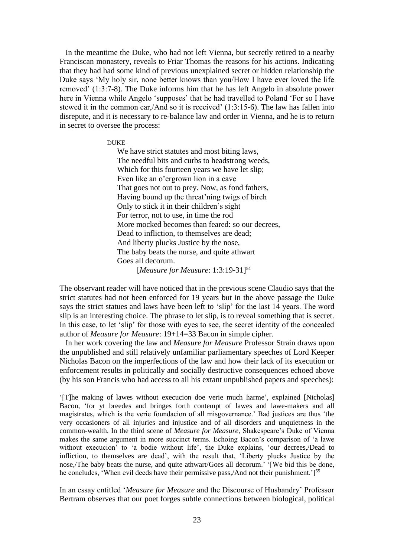In the meantime the Duke, who had not left Vienna, but secretly retired to a nearby Franciscan monastery, reveals to Friar Thomas the reasons for his actions. Indicating that they had had some kind of previous unexplained secret or hidden relationship the Duke says 'My holy sir, none better knows than you/How I have ever loved the life removed' (1:3:7-8). The Duke informs him that he has left Angelo in absolute power here in Vienna while Angelo 'supposes' that he had travelled to Poland 'For so I have stewed it in the common ear,/And so it is received' (1:3:15-6). The law has fallen into disrepute, and it is necessary to re-balance law and order in Vienna, and he is to return in secret to oversee the process:

#### DUKE

 We have strict statutes and most biting laws, The needful bits and curbs to headstrong weeds, Which for this fourteen years we have let slip; Even like an o'ergrown lion in a cave That goes not out to prey. Now, as fond fathers, Having bound up the threat'ning twigs of birch Only to stick it in their children's sight For terror, not to use, in time the rod More mocked becomes than feared: so our decrees, Dead to infliction, to themselves are dead; And liberty plucks Justice by the nose, The baby beats the nurse, and quite athwart Goes all decorum.

[*Measure for Measure*: 1:3:19-31]<sup>54</sup>

The observant reader will have noticed that in the previous scene Claudio says that the strict statutes had not been enforced for 19 years but in the above passage the Duke says the strict statues and laws have been left to 'slip' for the last 14 years. The word slip is an interesting choice. The phrase to let slip, is to reveal something that is secret. In this case, to let 'slip' for those with eyes to see, the secret identity of the concealed author of *Measure for Measure*: 19+14=33 Bacon in simple cipher.

 In her work covering the law and *Measure for Measure* Professor Strain draws upon the unpublished and still relatively unfamiliar parliamentary speeches of Lord Keeper Nicholas Bacon on the imperfections of the law and how their lack of its execution or enforcement results in politically and socially destructive consequences echoed above (by his son Francis who had access to all his extant unpublished papers and speeches):

'[T]he making of lawes without execucion doe verie much harme', explained [Nicholas] Bacon, 'for yt breedes and bringes forth contempt of lawes and lawe-makers and all magistrates, which is the verie foundacion of all misgovernance.' Bad justices are thus 'the very occasioners of all injuries and injustice and of all disorders and unquietness in the common-wealth. In the third scene of *Measure for Measure*, Shakespeare's Duke of Vienna makes the same argument in more succinct terms. Echoing Bacon's comparison of 'a lawe without execucion' to 'a bodie without life', the Duke explains, 'our decrees,/Dead to infliction, to themselves are dead', with the result that, 'Liberty plucks Justice by the nose,/The baby beats the nurse, and quite athwart/Goes all decorum.' '[We bid this be done, he concludes, 'When evil deeds have their permissive pass,/And not their punishment.']<sup>55</sup>

In an essay entitled '*Measure for Measure* and the Discourse of Husbandry' Professor Bertram observes that our poet forges subtle connections between biological, political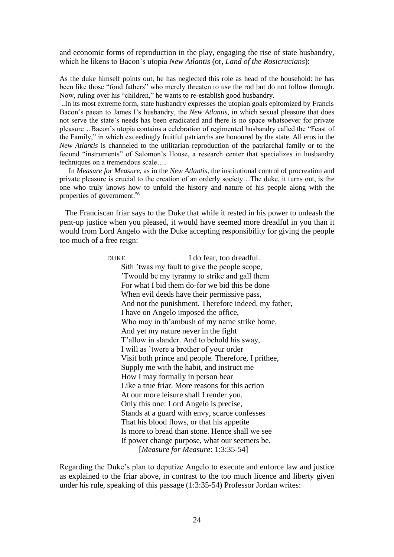and economic forms of reproduction in the play, engaging the rise of state husbandry, which he likens to Bacon's utopia *New Atlantis* (or, *Land of the Rosicrucians*):

As the duke himself points out, he has neglected this role as head of the household: he has been like those "fond fathers" who merely threaten to use the rod but do not follow through. Now, ruling over his "children," he wants to re-establish good husbandry.

..In its most extreme form, state husbandry expresses the utopian goals epitomized by Francis Bacon's paean to James I's husbandry, the *New Atlantis*, in which sexual pleasure that does not serve the state's needs has been eradicated and there is no space whatsoever for private pleasure…Bacon's utopia contains a celebration of regimented husbandry called the "Feast of the Family," in which exceedingly fruitful patriarchs are honoured by the state. All eros in the *New Atlantis* is channeled to the utilitarian reproduction of the patriarchal family or to the fecund "instruments" of Salomon's House, a research center that specializes in husbandry techniques on a tremendous scale….

 In *Measure for Measure*, as in the *New Atlantis*, the institutional control of procreation and private pleasure is crucial to the creation of an orderly society…The duke, it turns out, is the one who truly knows how to unfold the history and nature of his people along with the properties of government.<sup>56</sup>

 The Franciscan friar says to the Duke that while it rested in his power to unleash the pent-up justice when you pleased, it would have seemed more dreadful in you than it would from Lord Angelo with the Duke accepting responsibility for giving the people too much of a free reign:

> DUKE I do fear, too dreadful. Sith 'twas my fault to give the people scope, 'Twould be my tyranny to strike and gall them For what I bid them do-for we bid this be done When evil deeds have their permissive pass, And not the punishment. Therefore indeed, my father, I have on Angelo imposed the office, Who may in th'ambush of my name strike home, And yet my nature never in the fight T'allow in slander. And to behold his sway, I will as 'twere a brother of your order Visit both prince and people. Therefore, I prithee, Supply me with the habit, and instruct me How I may formally in person bear Like a true friar. More reasons for this action At our more leisure shall I render you. Only this one: Lord Angelo is precise, Stands at a guard with envy, scarce confesses That his blood flows, or that his appetite Is more to bread than stone. Hence shall we see If power change purpose, what our seemers be. [*Measure for Measure*: 1:3:35-54]

Regarding the Duke's plan to deputize Angelo to execute and enforce law and justice as explained to the friar above, in contrast to the too much licence and liberty given under his rule, speaking of this passage (1:3:35-54) Professor Jordan writes: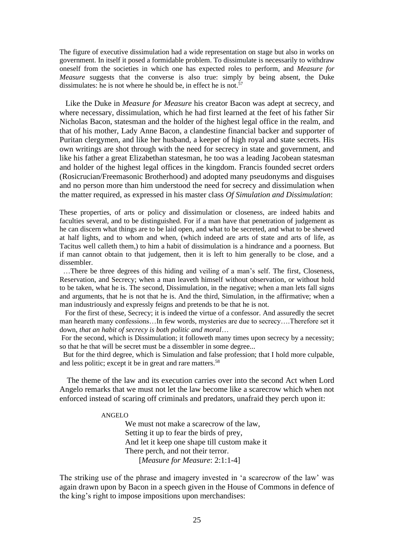The figure of executive dissimulation had a wide representation on stage but also in works on government. In itself it posed a formidable problem. To dissimulate is necessarily to withdraw oneself from the societies in which one has expected roles to perform, and *Measure for Measure* suggests that the converse is also true: simply by being absent, the Duke dissimulates: he is not where he should be, in effect he is not.<sup>57</sup>

 Like the Duke in *Measure for Measure* his creator Bacon was adept at secrecy, and where necessary, dissimulation, which he had first learned at the feet of his father Sir Nicholas Bacon, statesman and the holder of the highest legal office in the realm, and that of his mother, Lady Anne Bacon, a clandestine financial backer and supporter of Puritan clergymen, and like her husband, a keeper of high royal and state secrets. His own writings are shot through with the need for secrecy in state and government, and like his father a great Elizabethan statesman, he too was a leading Jacobean statesman and holder of the highest legal offices in the kingdom. Francis founded secret orders (Rosicrucian/Freemasonic Brotherhood) and adopted many pseudonyms and disguises and no person more than him understood the need for secrecy and dissimulation when the matter required, as expressed in his master class *Of Simulation and Dissimulation*:

These properties, of arts or policy and dissimulation or closeness, are indeed habits and faculties several, and to be distinguished. For if a man have that penetration of judgement as he can discern what things are to be laid open, and what to be secreted, and what to be shewed at half lights, and to whom and when, (which indeed are arts of state and arts of life, as Tacitus well calleth them,) to him a habit of dissimulation is a hindrance and a poorness. But if man cannot obtain to that judgement, then it is left to him generally to be close, and a dissembler.

 …There be three degrees of this hiding and veiling of a man's self. The first, Closeness, Reservation, and Secrecy; when a man leaveth himself without observation, or without hold to be taken, what he is. The second, Dissimulation, in the negative; when a man lets fall signs and arguments, that he is not that he is. And the third, Simulation, in the affirmative; when a man industriously and expressly feigns and pretends to be that he is not.

 For the first of these, Secrecy; it is indeed the virtue of a confessor. And assuredly the secret man heareth many confessions…In few words, mysteries are due to secrecy….Therefore set it down, *that an habit of secrecy is both politic and moral*…

For the second, which is Dissimulation; it followeth many times upon secrecy by a necessity; so that he that will be secret must be a dissembler in some degree...

 But for the third degree, which is Simulation and false profession; that I hold more culpable, and less politic; except it be in great and rare matters.<sup>58</sup>

 The theme of the law and its execution carries over into the second Act when Lord Angelo remarks that we must not let the law become like a scarecrow which when not enforced instead of scaring off criminals and predators, unafraid they perch upon it:

#### ANGELO

 We must not make a scarecrow of the law, Setting it up to fear the birds of prey, And let it keep one shape till custom make it There perch, and not their terror. [*Measure for Measure*: 2:1:1-4]

The striking use of the phrase and imagery invested in 'a scarecrow of the law' was again drawn upon by Bacon in a speech given in the House of Commons in defence of the king's right to impose impositions upon merchandises: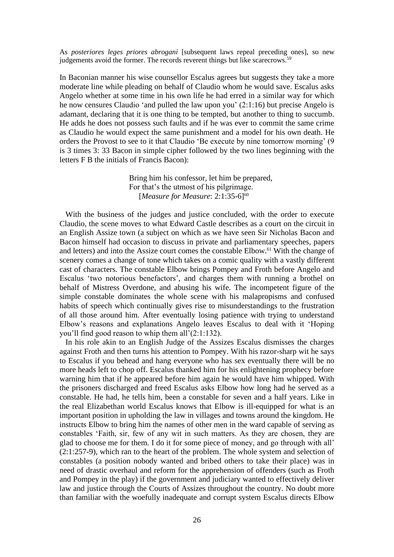As *posteriores leges priores abrogani* [subsequent laws repeal preceding ones], so new judgements avoid the former. The records reverent things but like scarecrows.<sup>59</sup>

In Baconian manner his wise counsellor Escalus agrees but suggests they take a more moderate line while pleading on behalf of Claudio whom he would save. Escalus asks Angelo whether at some time in his own life he had erred in a similar way for which he now censures Claudio 'and pulled the law upon you' (2:1:16) but precise Angelo is adamant, declaring that it is one thing to be tempted, but another to thing to succumb. He adds he does not possess such faults and if he was ever to commit the same crime as Claudio he would expect the same punishment and a model for his own death. He orders the Provost to see to it that Claudio 'Be execute by nine tomorrow morning' (9 is 3 times 3: 33 Bacon in simple cipher followed by the two lines beginning with the letters F B the initials of Francis Bacon):

> Bring him his confessor, let him be prepared, For that's the utmost of his pilgrimage. [*Measure for Measure*: 2:1:35-6]<sup>60</sup>

 With the business of the judges and justice concluded, with the order to execute Claudio, the scene moves to what Edward Castle describes as a court on the circuit in an English Assize town (a subject on which as we have seen Sir Nicholas Bacon and Bacon himself had occasion to discuss in private and parliamentary speeches, papers and letters) and into the Assize court comes the constable Elbow.<sup>61</sup> With the change of scenery comes a change of tone which takes on a comic quality with a vastly different cast of characters. The constable Elbow brings Pompey and Froth before Angelo and Escalus 'two notorious benefactors', and charges them with running a brothel on behalf of Mistress Overdone, and abusing his wife. The incompetent figure of the simple constable dominates the whole scene with his malapropisms and confused habits of speech which continually gives rise to misunderstandings to the frustration of all those around him. After eventually losing patience with trying to understand Elbow's reasons and explanations Angelo leaves Escalus to deal with it 'Hoping you'll find good reason to whip them all'(2:1:132).

 In his role akin to an English Judge of the Assizes Escalus dismisses the charges against Froth and then turns his attention to Pompey. With his razor-sharp wit he says to Escalus if you behead and hang everyone who has sex eventually there will be no more heads left to chop off. Escalus thanked him for his enlightening prophecy before warning him that if he appeared before him again he would have him whipped. With the prisoners discharged and freed Escalus asks Elbow how long had he served as a constable. He had, he tells him, been a constable for seven and a half years. Like in the real Elizabethan world Escalus knows that Elbow is ill-equipped for what is an important position in upholding the law in villages and towns around the kingdom. He instructs Elbow to bring him the names of other men in the ward capable of serving as constables 'Faith, sir, few of any wit in such matters. As they are chosen, they are glad to choose me for them. I do it for some piece of money, and go through with all' (2:1:257-9), which ran to the heart of the problem. The whole system and selection of constables (a position nobody wanted and bribed others to take their place) was in need of drastic overhaul and reform for the apprehension of offenders (such as Froth and Pompey in the play) if the government and judiciary wanted to effectively deliver law and justice through the Courts of Assizes throughout the country. No doubt more than familiar with the woefully inadequate and corrupt system Escalus directs Elbow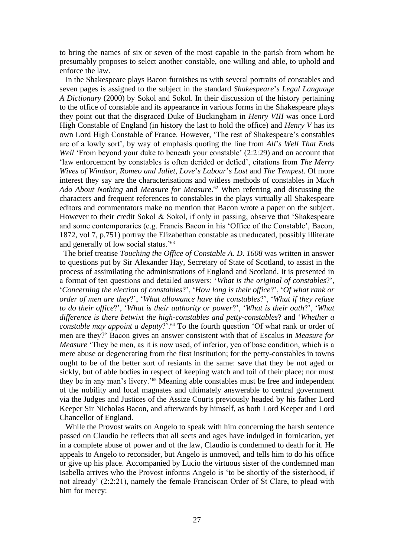to bring the names of six or seven of the most capable in the parish from whom he presumably proposes to select another constable, one willing and able, to uphold and enforce the law.

 In the Shakespeare plays Bacon furnishes us with several portraits of constables and seven pages is assigned to the subject in the standard *Shakespeare*'*s Legal Language A Dictionary* (2000) by Sokol and Sokol. In their discussion of the history pertaining to the office of constable and its appearance in various forms in the Shakespeare plays they point out that the disgraced Duke of Buckingham in *Henry VIII* was once Lord High Constable of England (in history the last to hold the office) and *Henry V* has its own Lord High Constable of France. However, 'The rest of Shakespeare's constables are of a lowly sort', by way of emphasis quoting the line from *All*'*s Well That Ends Well* 'From beyond your duke to beneath your constable' (2:2:29) and on account that 'law enforcement by constables is often derided or defied', citations from *The Merry Wives of Windsor*, *Romeo and Juliet*, *Love*'*s Labour*'*s Lost* and *The Tempest*. Of more interest they say are the characterisations and witless methods of constables in M*uch Ado About Nothing* and *Measure for Measure*. <sup>62</sup> When referring and discussing the characters and frequent references to constables in the plays virtually all Shakespeare editors and commentators make no mention that Bacon wrote a paper on the subject. However to their credit Sokol & Sokol, if only in passing, observe that 'Shakespeare and some contemporaries (e.g. Francis Bacon in his 'Office of the Constable', Bacon, 1872, vol 7, p.751) portray the Elizabethan constable as uneducated, possibly illiterate and generally of low social status.'<sup>63</sup>

 The brief treatise *Touching the Office of Constable A*. *D*. *1608* was written in answer to questions put by Sir Alexander Hay, Secretary of State of Scotland, to assist in the process of assimilating the administrations of England and Scotland. It is presented in a format of ten questions and detailed answers: '*What is the original of constables*?', '*Concerning the election of constables*?', '*How long is their office*?', '*Of what rank or order of men are they*?', '*What allowance have the constables*?', '*What if they refuse to do their office*?', '*What is their authority or power*?', '*What is their oath*?', '*What difference is there betwixt the high-constables and petty-constables*? and '*Whether a constable may appoint a deputy*?'.<sup>64</sup> To the fourth question 'Of what rank or order of men are they?' Bacon gives an answer consistent with that of Escalus in *Measure for Measure* 'They be men, as it is now used, of inferior, yea of base condition, which is a mere abuse or degenerating from the first institution; for the petty-constables in towns ought to be of the better sort of resiants in the same: save that they be not aged or sickly, but of able bodies in respect of keeping watch and toil of their place; nor must they be in any man's livery.'<sup>65</sup> Meaning able constables must be free and independent of the nobility and local magnates and ultimately answerable to central government via the Judges and Justices of the Assize Courts previously headed by his father Lord Keeper Sir Nicholas Bacon, and afterwards by himself, as both Lord Keeper and Lord Chancellor of England.

 While the Provost waits on Angelo to speak with him concerning the harsh sentence passed on Claudio he reflects that all sects and ages have indulged in fornication, yet in a complete abuse of power and of the law, Claudio is condemned to death for it. He appeals to Angelo to reconsider, but Angelo is unmoved, and tells him to do his office or give up his place. Accompanied by Lucio the virtuous sister of the condemned man Isabella arrives who the Provost informs Angelo is 'to be shortly of the sisterhood, if not already' (2:2:21), namely the female Franciscan Order of St Clare, to plead with him for mercy: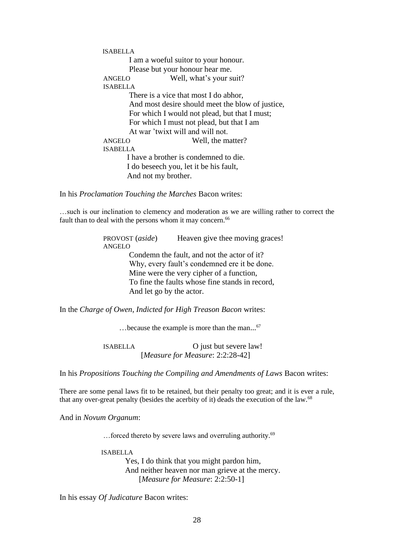ISABELLA I am a woeful suitor to your honour. Please but your honour hear me. ANGELO Well, what's your suit? ISABELLA There is a vice that most I do abhor. And most desire should meet the blow of justice, For which I would not plead, but that I must; For which I must not plead, but that I am At war 'twixt will and will not. ANGELO Well, the matter? ISABELLA I have a brother is condemned to die. I do beseech you, let it be his fault, And not my brother.

In his *Proclamation Touching the Marches* Bacon writes:

…such is our inclination to clemency and moderation as we are willing rather to correct the fault than to deal with the persons whom it may concern.<sup>66</sup>

> PROVOST (*aside*) Heaven give thee moving graces! ANGELO Condemn the fault, and not the actor of it? Why, every fault's condemned ere it be done. Mine were the very cipher of a function, To fine the faults whose fine stands in record, And let go by the actor.

In the *Charge of Owen*, *Indicted for High Treason Bacon* writes:

…because the example is more than the man... 67

 ISABELLA O just but severe law! [*Measure for Measure*: 2:2:28-42]

In his *Propositions Touching the Compiling and Amendments of Laws* Bacon writes:

There are some penal laws fit to be retained, but their penalty too great; and it is ever a rule, that any over-great penalty (besides the acerbity of it) deads the execution of the law.<sup>68</sup>

And in *Novum Organum*:

...forced thereto by severe laws and overruling authority.<sup>69</sup>

ISABELLA

 Yes, I do think that you might pardon him, And neither heaven nor man grieve at the mercy. [*Measure for Measure*: 2:2:50-1]

In his essay *Of Judicature* Bacon writes: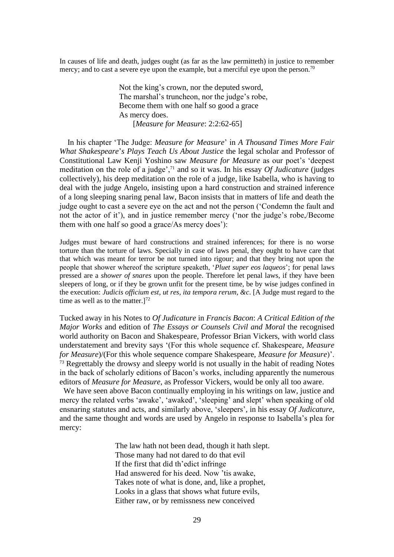In causes of life and death, judges ought (as far as the law permitteth) in justice to remember mercy; and to cast a severe eye upon the example, but a merciful eye upon the person.<sup>70</sup>

> Not the king's crown, nor the deputed sword, The marshal's truncheon, nor the judge's robe, Become them with one half so good a grace As mercy does. [*Measure for Measure*: 2:2:62-65]

 In his chapter 'The Judge: *Measure for Measure*' in *A Thousand Times More Fair What Shakespeare*'*s Plays Teach Us About Justice* the legal scholar and Professor of Constitutional Law Kenji Yoshino saw *Measure for Measure* as our poet's 'deepest meditation on the role of a judge',<sup>71</sup> and so it was. In his essay *Of Judicature* (judges collectively), his deep meditation on the role of a judge, like Isabella, who is having to deal with the judge Angelo, insisting upon a hard construction and strained inference of a long sleeping snaring penal law, Bacon insists that in matters of life and death the judge ought to cast a severe eye on the act and not the person ('Condemn the fault and not the actor of it'), and in justice remember mercy ('nor the judge's robe,/Become them with one half so good a grace/As mercy does'):

Judges must beware of hard constructions and strained inferences; for there is no worse torture than the torture of laws. Specially in case of laws penal, they ought to have care that that which was meant for terror be not turned into rigour; and that they bring not upon the people that shower whereof the scripture speaketh, '*Pluet super eos laqueos*'; for penal laws pressed are a *shower of snares* upon the people. Therefore let penal laws, if they have been sleepers of long, or if they be grown unfit for the present time, be by wise judges confined in the execution: *Judicis officium est*, *ut res*, *ita tempora rerum*, *&c*. [A Judge must regard to the time as well as to the matter.]<sup>72</sup>

Tucked away in his Notes to *Of Judicature* in *Francis Bacon*: *A Critical Edition of the Major Works* and edition of *The Essays or Counsels Civil and Moral* the recognised world authority on Bacon and Shakespeare, Professor Brian Vickers, with world class understatement and brevity says '(For this whole sequence cf. Shakespeare, *Measure for Measure*)/(For this whole sequence compare Shakespeare, *Measure for Measure*)'. <sup>73</sup> Regrettably the drowsy and sleepy world is not usually in the habit of reading Notes in the back of scholarly editions of Bacon's works, including apparently the numerous editors of *Measure for Measure*, as Professor Vickers, would be only all too aware.

We have seen above Bacon continually employing in his writings on law, justice and mercy the related verbs 'awake', 'awaked', 'sleeping' and slept' when speaking of old ensnaring statutes and acts, and similarly above, 'sleepers', in his essay *Of Judicature*, and the same thought and words are used by Angelo in response to Isabella's plea for mercy:

> The law hath not been dead, though it hath slept. Those many had not dared to do that evil If the first that did th'edict infringe Had answered for his deed. Now 'tis awake, Takes note of what is done, and, like a prophet, Looks in a glass that shows what future evils, Either raw, or by remissness new conceived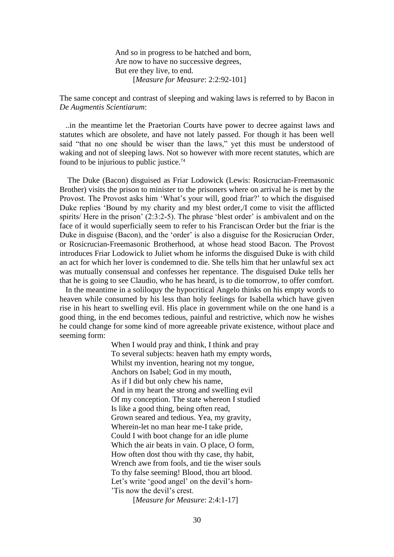And so in progress to be hatched and born, Are now to have no successive degrees, But ere they live, to end. [*Measure for Measure*: 2:2:92-101]

The same concept and contrast of sleeping and waking laws is referred to by Bacon in *De Augmentis Scientiarum*:

 ..in the meantime let the Praetorian Courts have power to decree against laws and statutes which are obsolete, and have not lately passed. For though it has been well said "that no one should be wiser than the laws," yet this must be understood of waking and not of sleeping laws. Not so however with more recent statutes, which are found to be injurious to public justice.<sup>74</sup>

 The Duke (Bacon) disguised as Friar Lodowick (Lewis: Rosicrucian-Freemasonic Brother) visits the prison to minister to the prisoners where on arrival he is met by the Provost. The Provost asks him 'What's your will, good friar?' to which the disguised Duke replies 'Bound by my charity and my blest order,/I come to visit the afflicted spirits/ Here in the prison' (2:3:2-5). The phrase 'blest order' is ambivalent and on the face of it would superficially seem to refer to his Franciscan Order but the friar is the Duke in disguise (Bacon), and the 'order' is also a disguise for the Rosicrucian Order, or Rosicrucian-Freemasonic Brotherhood, at whose head stood Bacon. The Provost introduces Friar Lodowick to Juliet whom he informs the disguised Duke is with child an act for which her lover is condemned to die. She tells him that her unlawful sex act was mutually consensual and confesses her repentance. The disguised Duke tells her that he is going to see Claudio, who he has heard, is to die tomorrow, to offer comfort.

 In the meantime in a soliloquy the hypocritical Angelo thinks on his empty words to heaven while consumed by his less than holy feelings for Isabella which have given rise in his heart to swelling evil. His place in government while on the one hand is a good thing, in the end becomes tedious, painful and restrictive, which now he wishes he could change for some kind of more agreeable private existence, without place and seeming form:

> When I would pray and think, I think and pray To several subjects: heaven hath my empty words, Whilst my invention, hearing not my tongue, Anchors on Isabel; God in my mouth, As if I did but only chew his name, And in my heart the strong and swelling evil Of my conception. The state whereon I studied Is like a good thing, being often read, Grown seared and tedious. Yea, my gravity, Wherein-let no man hear me-I take pride, Could I with boot change for an idle plume Which the air beats in vain. O place, O form, How often dost thou with thy case, thy habit, Wrench awe from fools, and tie the wiser souls To thy false seeming! Blood, thou art blood. Let's write 'good angel' on the devil's horn-'Tis now the devil's crest.

> > [*Measure for Measure*: 2:4:1-17]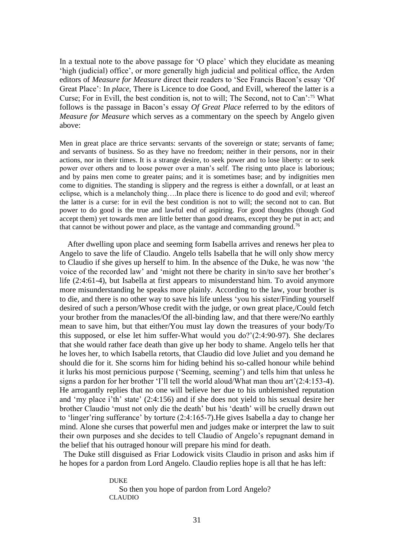In a textual note to the above passage for 'O place' which they elucidate as meaning 'high (judicial) office', or more generally high judicial and political office, the Arden editors of *Measure for Measure* direct their readers to 'See Francis Bacon's essay 'Of Great Place': In *place*, There is Licence to doe Good, and Evill, whereof the latter is a Curse; For in Evill, the best condition is, not to will; The Second, not to Can':<sup>75</sup> What follows is the passage in Bacon's essay *Of Great Place* referred to by the editors of *Measure for Measure* which serves as a commentary on the speech by Angelo given above:

Men in great place are thrice servants: servants of the sovereign or state; servants of fame; and servants of business. So as they have no freedom; neither in their persons, nor in their actions, nor in their times. It is a strange desire, to seek power and to lose liberty: or to seek power over others and to loose power over a man's self. The rising unto place is laborious; and by pains men come to greater pains; and it is sometimes base; and by indignities men come to dignities. The standing is slippery and the regress is either a downfall, or at least an eclipse, which is a melancholy thing….In place there is licence to do good and evil; whereof the latter is a curse: for in evil the best condition is not to will; the second not to can. But power to do good is the true and lawful end of aspiring. For good thoughts (though God accept them) yet towards men are little better than good dreams, except they be put in act; and that cannot be without power and place, as the vantage and commanding ground.<sup>76</sup>

 After dwelling upon place and seeming form Isabella arrives and renews her plea to Angelo to save the life of Claudio. Angelo tells Isabella that he will only show mercy to Claudio if she gives up herself to him. In the absence of the Duke, he was now 'the voice of the recorded law' and 'might not there be charity in sin/to save her brother's life (2:4:61-4), but Isabella at first appears to misunderstand him. To avoid anymore more misunderstanding he speaks more plainly. According to the law, your brother is to die, and there is no other way to save his life unless 'you his sister/Finding yourself desired of such a person/Whose credit with the judge, or own great place,/Could fetch your brother from the manacles/Of the all-binding law, and that there were/No earthly mean to save him, but that either/You must lay down the treasures of your body/To this supposed, or else let him suffer-What would you do?'(2:4:90-97). She declares that she would rather face death than give up her body to shame. Angelo tells her that he loves her, to which Isabella retorts, that Claudio did love Juliet and you demand he should die for it. She scorns him for hiding behind his so-called honour while behind it lurks his most pernicious purpose ('Seeming, seeming') and tells him that unless he signs a pardon for her brother 'I'll tell the world aloud/What man thou art'(2:4:153-4). He arrogantly replies that no one will believe her due to his unblemished reputation and 'my place i'th' state' (2:4:156) and if she does not yield to his sexual desire her brother Claudio 'must not only die the death' but his 'death' will be cruelly drawn out to 'linger'ring sufferance' by torture (2:4:165-7).He gives Isabella a day to change her mind. Alone she curses that powerful men and judges make or interpret the law to suit their own purposes and she decides to tell Claudio of Angelo's repugnant demand in the belief that his outraged honour will prepare his mind for death.

 The Duke still disguised as Friar Lodowick visits Claudio in prison and asks him if he hopes for a pardon from Lord Angelo. Claudio replies hope is all that he has left:

> DUKE So then you hope of pardon from Lord Angelo? CLAUDIO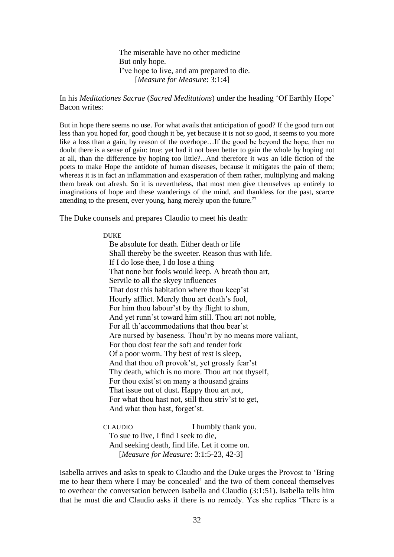The miserable have no other medicine But only hope. I've hope to live, and am prepared to die. [*Measure for Measure*: 3:1:4]

In his *Meditationes Sacrae* (*Sacred Meditations*) under the heading 'Of Earthly Hope' Bacon writes:

But in hope there seems no use. For what avails that anticipation of good? If the good turn out less than you hoped for, good though it be, yet because it is not *so* good, it seems to you more like a loss than a gain, by reason of the overhope…If the good be beyond the hope, then no doubt there is a sense of gain: true: yet had it not been better to gain the whole by hoping not at all, than the difference by hoping too little?...And therefore it was an idle fiction of the poets to make Hope the antidote of human diseases, because it mitigates the pain of them; whereas it is in fact an inflammation and exasperation of them rather, multiplying and making them break out afresh. So it is nevertheless, that most men give themselves up entirely to imaginations of hope and these wanderings of the mind, and thankless for the past, scarce attending to the present, ever young, hang merely upon the future.<sup>77</sup>

The Duke counsels and prepares Claudio to meet his death:

#### DUKE

 Be absolute for death. Either death or life Shall thereby be the sweeter. Reason thus with life. If I do lose thee, I do lose a thing That none but fools would keep. A breath thou art, Servile to all the skyey influences That dost this habitation where thou keep'st Hourly afflict. Merely thou art death's fool, For him thou labour'st by thy flight to shun, And yet runn'st toward him still. Thou art not noble, For all th'accommodations that thou bear'st Are nursed by baseness. Thou'rt by no means more valiant, For thou dost fear the soft and tender fork Of a poor worm. Thy best of rest is sleep, And that thou oft provok'st, yet grossly fear'st Thy death, which is no more. Thou art not thyself, For thou exist'st on many a thousand grains That issue out of dust. Happy thou art not, For what thou hast not, still thou striv'st to get, And what thou hast, forget'st.

CLAUDIO I humbly thank you. To sue to live, I find I seek to die, And seeking death, find life. Let it come on. [*Measure for Measure*: 3:1:5-23, 42-3]

Isabella arrives and asks to speak to Claudio and the Duke urges the Provost to 'Bring me to hear them where I may be concealed' and the two of them conceal themselves to overhear the conversation between Isabella and Claudio (3:1:51). Isabella tells him that he must die and Claudio asks if there is no remedy. Yes she replies 'There is a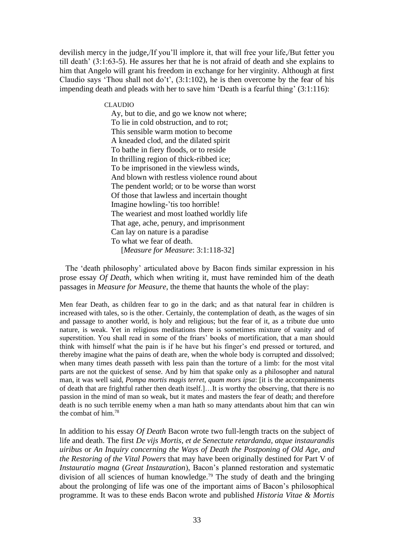devilish mercy in the judge,/If you'll implore it, that will free your life,/But fetter you till death' (3:1:63-5). He assures her that he is not afraid of death and she explains to him that Angelo will grant his freedom in exchange for her virginity. Although at first Claudio says 'Thou shall not do't', (3:1:102), he is then overcome by the fear of his impending death and pleads with her to save him 'Death is a fearful thing' (3:1:116):

CLAUDIO

 Ay, but to die, and go we know not where; To lie in cold obstruction, and to rot; This sensible warm motion to become A kneaded clod, and the dilated spirit To bathe in fiery floods, or to reside In thrilling region of thick-ribbed ice; To be imprisoned in the viewless winds, And blown with restless violence round about The pendent world; or to be worse than worst Of those that lawless and incertain thought Imagine howling-'tis too horrible! The weariest and most loathed worldly life That age, ache, penury, and imprisonment Can lay on nature is a paradise To what we fear of death. [*Measure for Measure*: 3:1:118-32]

 The 'death philosophy' articulated above by Bacon finds similar expression in his prose essay *Of Death*, which when writing it, must have reminded him of the death passages in *Measure for Measure*, the theme that haunts the whole of the play:

Men fear Death, as children fear to go in the dark; and as that natural fear in children is increased with tales, so is the other. Certainly, the contemplation of death, as the wages of sin and passage to another world, is holy and religious; but the fear of it, as a tribute due unto nature, is weak. Yet in religious meditations there is sometimes mixture of vanity and of superstition. You shall read in some of the friars' books of mortification, that a man should think with himself what the pain is if he have but his finger's end pressed or tortured, and thereby imagine what the pains of death are, when the whole body is corrupted and dissolved; when many times death passeth with less pain than the torture of a limb: for the most vital parts are not the quickest of sense. And by him that spake only as a philosopher and natural man, it was well said, *Pompa mortis magis terret*, *quam mors ipsa*: [it is the accompaniments of death that are frightful rather then death itself.]…It is worthy the observing, that there is no passion in the mind of man so weak, but it mates and masters the fear of death; and therefore death is no such terrible enemy when a man hath so many attendants about him that can win the combat of him.<sup>78</sup>

In addition to his essay *Of Death* Bacon wrote two full-length tracts on the subject of life and death. The first *De vijs Mortis*, *et de Senectute retardanda*, *atque instaurandis uiribus* or *An Inquiry concerning the Ways of Death the Postponing of Old Age*, *and the Restoring of the Vital Powers* that may have been originally destined for Part V of *Instauratio magna* (*Great Instauration*), Bacon's planned restoration and systematic division of all sciences of human knowledge.<sup>79</sup> The study of death and the bringing about the prolonging of life was one of the important aims of Bacon's philosophical programme. It was to these ends Bacon wrote and published *Historia Vitae & Mortis*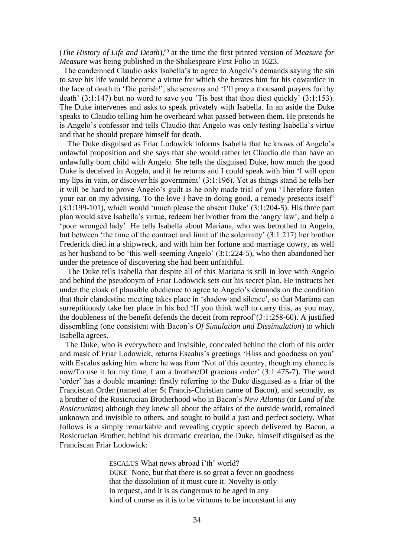(*The History of Life and Death*),<sup>80</sup> at the time the first printed version of *Measure for Measure* was being published in the Shakespeare First Folio in 1623.

 The condemned Claudio asks Isabella's to agree to Angelo's demands saying the sin to save his life would become a virtue for which she berates him for his cowardice in the face of death to 'Die perish!', she screams and 'I'll pray a thousand prayers for thy death' (3:1:147) but no word to save you 'Tis best that thou diest quickly' (3:1:153). The Duke intervenes and asks to speak privately with Isabella. In an aside the Duke speaks to Claudio telling him he overheard what passed between them. He pretends he is Angelo's confessor and tells Claudio that Angelo was only testing Isabella's virtue and that he should prepare himself for death.

 The Duke disguised as Friar Lodowick informs Isabella that he knows of Angelo's unlawful proposition and she says that she would rather let Claudio die than have an unlawfully born child with Angelo. She tells the disguised Duke, how much the good Duke is deceived in Angelo, and if he returns and I could speak with him 'I will open my lips in vain, or discover his government' (3:1:196). Yet as things stand he tells her it will be hard to prove Angelo's guilt as he only made trial of you 'Therefore fasten your ear on my advising. To the love I have in doing good, a remedy presents itself' (3:1:199-101), which would 'much please the absent Duke' (3:1:204-5). His three part plan would save Isabella's virtue, redeem her brother from the 'angry law', and help a 'poor wronged lady'. He tells Isabella about Mariana, who was betrothed to Angelo, but between 'the time of the contract and limit of the solemnity' (3:1:217) her brother Frederick died in a shipwreck, and with him her fortune and marriage dowry, as well as her husband to be 'this well-seeming Angelo' (3:1:224-5), who then abandoned her under the pretence of discovering she had been unfaithful.

 The Duke tells Isabella that despite all of this Mariana is still in love with Angelo and behind the pseudonym of Friar Lodowick sets out his secret plan. He instructs her under the cloak of plausible obedience to agree to Angelo's demands on the condition that their clandestine meeting takes place in 'shadow and silence', so that Mariana can surreptitiously take her place in his bed 'If you think well to carry this, as you may, the doubleness of the benefit defends the deceit from reproof'(3:1:258-60). A justified dissembling (one consistent with Bacon's *Of Simulation and Dissimulation*) to which Isabella agrees.

 The Duke, who is everywhere and invisible, concealed behind the cloth of his order and mask of Friar Lodowick, returns Escalus's greetings 'Bliss and goodness on you' with Escalus asking him where he was from 'Not of this country, though my chance is now/To use it for my time, I am a brother/Of gracious order' (3:1:475-7). The word 'order' has a double meaning: firstly referring to the Duke disguised as a friar of the Franciscan Order (named after St Francis-Christian name of Bacon), and secondly, as a brother of the Rosicrucian Brotherhood who in Bacon's *New Atlantis* (or *Land of the Rosicrucians*) although they knew all about the affairs of the outside world, remained unknown and invisible to others, and sought to build a just and perfect society. What follows is a simply remarkable and revealing cryptic speech delivered by Bacon, a Rosicrucian Brother, behind his dramatic creation, the Duke, himself disguised as the Franciscan Friar Lodowick:

> ESCALUS What news abroad i'th' world? DUKE None, but that there is so great a fever on goodness that the dissolution of it must cure it. Novelty is only in request, and it is as dangerous to be aged in any kind of course as it is to be virtuous to be inconstant in any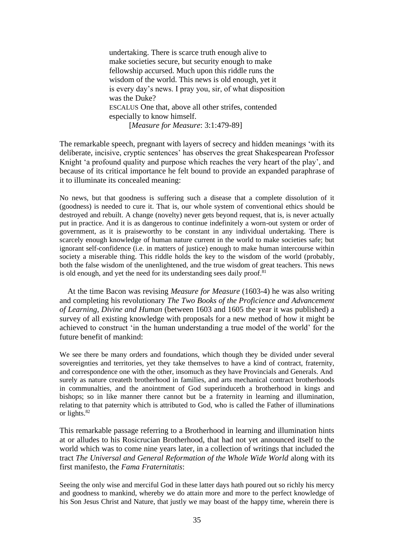undertaking. There is scarce truth enough alive to make societies secure, but security enough to make fellowship accursed. Much upon this riddle runs the wisdom of the world. This news is old enough, yet it is every day's news. I pray you, sir, of what disposition was the Duke? ESCALUS One that, above all other strifes, contended especially to know himself. [*Measure for Measure*: 3:1:479-89]

The remarkable speech, pregnant with layers of secrecy and hidden meanings 'with its deliberate, incisive, cryptic sentences' has observes the great Shakespearean Professor Knight 'a profound quality and purpose which reaches the very heart of the play', and because of its critical importance he felt bound to provide an expanded paraphrase of it to illuminate its concealed meaning:

No news, but that goodness is suffering such a disease that a complete dissolution of it (goodness) is needed to cure it. That is, our whole system of conventional ethics should be destroyed and rebuilt. A change (novelty) never gets beyond request, that is, is never actually put in practice. And it is as dangerous to continue indefinitely a worn-out system or order of government, as it is praiseworthy to be constant in any individual undertaking. There is scarcely enough knowledge of human nature current in the world to make societies safe; but ignorant self-confidence (i.e. in matters of justice) enough to make human intercourse within society a miserable thing. This riddle holds the key to the wisdom of the world (probably, both the false wisdom of the unenlightened, and the true wisdom of great teachers. This news is old enough, and yet the need for its understanding sees daily proof.<sup>81</sup>

 At the time Bacon was revising *Measure for Measure* (1603-4) he was also writing and completing his revolutionary *The Two Books of the Proficience and Advancement of Learning*, *Divine and Human* (between 1603 and 1605 the year it was published) a survey of all existing knowledge with proposals for a new method of how it might be achieved to construct 'in the human understanding a true model of the world' for the future benefit of mankind:

We see there be many orders and foundations, which though they be divided under several sovereignties and territories, yet they take themselves to have a kind of contract, fraternity, and correspondence one with the other, insomuch as they have Provincials and Generals. And surely as nature createth brotherhood in families, and arts mechanical contract brotherhoods in communalties, and the anointment of God superinduceth a brotherhood in kings and bishops; so in like manner there cannot but be a fraternity in learning and illumination, relating to that paternity which is attributed to God, who is called the Father of illuminations or lights.<sup>82</sup>

This remarkable passage referring to a Brotherhood in learning and illumination hints at or alludes to his Rosicrucian Brotherhood, that had not yet announced itself to the world which was to come nine years later, in a collection of writings that included the tract *The Universal and General Reformation of the Whole Wide World* along with its first manifesto, the *Fama Fraternitatis*:

Seeing the only wise and merciful God in these latter days hath poured out so richly his mercy and goodness to mankind, whereby we do attain more and more to the perfect knowledge of his Son Jesus Christ and Nature, that justly we may boast of the happy time, wherein there is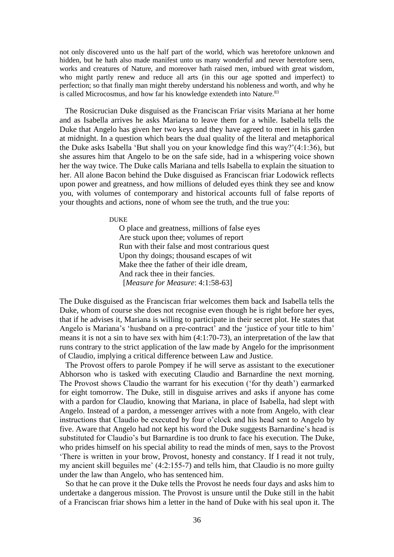not only discovered unto us the half part of the world, which was heretofore unknown and hidden, but he hath also made manifest unto us many wonderful and never heretofore seen, works and creatures of Nature, and moreover hath raised men, imbued with great wisdom, who might partly renew and reduce all arts (in this our age spotted and imperfect) to perfection; so that finally man might thereby understand his nobleness and worth, and why he is called Microcosmus, and how far his knowledge extendeth into Nature.<sup>83</sup>

 The Rosicrucian Duke disguised as the Franciscan Friar visits Mariana at her home and as Isabella arrives he asks Mariana to leave them for a while. Isabella tells the Duke that Angelo has given her two keys and they have agreed to meet in his garden at midnight. In a question which bears the dual quality of the literal and metaphorical the Duke asks Isabella 'But shall you on your knowledge find this way?'(4:1:36), but she assures him that Angelo to be on the safe side, had in a whispering voice shown her the way twice. The Duke calls Mariana and tells Isabella to explain the situation to her. All alone Bacon behind the Duke disguised as Franciscan friar Lodowick reflects upon power and greatness, and how millions of deluded eyes think they see and know you, with volumes of contemporary and historical accounts full of false reports of your thoughts and actions, none of whom see the truth, and the true you:

DUKE

 O place and greatness, millions of false eyes Are stuck upon thee; volumes of report Run with their false and most contrarious quest Upon thy doings; thousand escapes of wit Make thee the father of their idle dream. And rack thee in their fancies. [*Measure for Measure*: 4:1:58-63]

The Duke disguised as the Franciscan friar welcomes them back and Isabella tells the Duke, whom of course she does not recognise even though he is right before her eyes, that if he advises it, Mariana is willing to participate in their secret plot. He states that Angelo is Mariana's 'husband on a pre-contract' and the 'justice of your title to him' means it is not a sin to have sex with him (4:1:70-73), an interpretation of the law that runs contrary to the strict application of the law made by Angelo for the imprisonment of Claudio, implying a critical difference between Law and Justice.

 The Provost offers to parole Pompey if he will serve as assistant to the executioner Abhorson who is tasked with executing Claudio and Barnardine the next morning. The Provost shows Claudio the warrant for his execution ('for thy death') earmarked for eight tomorrow. The Duke, still in disguise arrives and asks if anyone has come with a pardon for Claudio, knowing that Mariana, in place of Isabella, had slept with Angelo. Instead of a pardon, a messenger arrives with a note from Angelo, with clear instructions that Claudio be executed by four o'clock and his head sent to Angelo by five. Aware that Angelo had not kept his word the Duke suggests Barnardine's head is substituted for Claudio's but Barnardine is too drunk to face his execution. The Duke, who prides himself on his special ability to read the minds of men, says to the Provost 'There is written in your brow, Provost, honesty and constancy. If I read it not truly, my ancient skill beguiles me' (4:2:155-7) and tells him, that Claudio is no more guilty under the law than Angelo, who has sentenced him.

 So that he can prove it the Duke tells the Provost he needs four days and asks him to undertake a dangerous mission. The Provost is unsure until the Duke still in the habit of a Franciscan friar shows him a letter in the hand of Duke with his seal upon it. The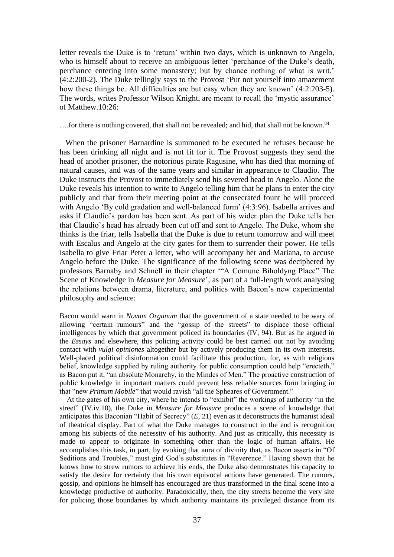letter reveals the Duke is to 'return' within two days, which is unknown to Angelo, who is himself about to receive an ambiguous letter 'perchance of the Duke's death, perchance entering into some monastery; but by chance nothing of what is writ.' (4:2:200-2). The Duke tellingly says to the Provost 'Put not yourself into amazement how these things be. All difficulties are but easy when they are known' (4:2:203-5). The words, writes Professor Wilson Knight, are meant to recall the 'mystic assurance' of Matthew.10:26:

....for there is nothing covered, that shall not be revealed; and hid, that shall not be known.<sup>84</sup>

 When the prisoner Barnardine is summoned to be executed he refuses because he has been drinking all night and is not fit for it. The Provost suggests they send the head of another prisoner, the notorious pirate Ragusine, who has died that morning of natural causes, and was of the same years and similar in appearance to Claudio. The Duke instructs the Provost to immediately send his severed head to Angelo. Alone the Duke reveals his intention to write to Angelo telling him that he plans to enter the city publicly and that from their meeting point at the consecrated fount he will proceed with Angelo 'By cold gradation and well-balanced form' (4:3:96). Isabella arrives and asks if Claudio's pardon has been sent. As part of his wider plan the Duke tells her that Claudio's head has already been cut off and sent to Angelo. The Duke, whom she thinks is the friar, tells Isabella that the Duke is due to return tomorrow and will meet with Escalus and Angelo at the city gates for them to surrender their power. He tells Isabella to give Friar Peter a letter, who will accompany her and Mariana, to accuse Angelo before the Duke. The significance of the following scene was deciphered by professors Barnaby and Schnell in their chapter '"A Comune Biholdyng Place" The Scene of Knowledge in *Measure for Measure*', as part of a full-length work analysing the relations between drama, literature, and politics with Bacon's new experimental philosophy and science:

Bacon would warn in *Novum Organum* that the government of a state needed to be wary of allowing "certain rumours" and the "gossip of the streets" to displace those official intelligences by which that government policed its boundaries (IV, 94). But as he argued in the *Essays* and elsewhere, this policing activity could be best carried out not by avoiding contact with *vulgi opiniones* altogether but by actively producing them in its own interests. Well-placed political disinformation could facilitate this production, for, as with religious belief, knowledge supplied by ruling authority for public consumption could help "erecteth," as Bacon put it, "an absolute Monarchy, in the Mindes of Men." The proactive construction of public knowledge in important matters could prevent less reliable sources form bringing in that "new *Primum Mobile*" that would ravish "all the Spheares of Government."

 At the gates of his own city, where he intends to "exhibit" the workings of authority "in the street" (IV.iv.10), the Duke in *Measure for Measure* produces a scene of knowledge that anticipates this Baconian "Habit of Secrecy" (*E*, 21) even as it deconstructs the humanist ideal of theatrical display. Part of what the Duke manages to construct in the end is recognition among his subjects of the necessity of his authority. And just as critically, this necessity is made to appear to originate in something other than the logic of human affairs. He accomplishes this task, in part, by evoking that aura of divinity that, as Bacon asserts in "Of Seditions and Troubles," must gird God's substitutes in "Reverence." Having shown that he knows how to strew rumors to achieve his ends, the Duke also demonstrates his capacity to satisfy the desire for certainty that his own equivocal actions have generated. The rumors, gossip, and opinions he himself has encouraged are thus transformed in the final scene into a knowledge productive of authority. Paradoxically, then, the city streets become the very site for policing those boundaries by which authority maintains its privileged distance from its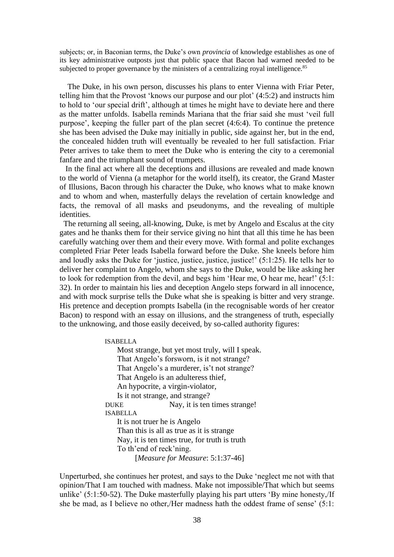subjects; or, in Baconian terms, the Duke's own *provincia* of knowledge establishes as one of its key administrative outposts just that public space that Bacon had warned needed to be subjected to proper governance by the ministers of a centralizing royal intelligence. $85$ 

 The Duke, in his own person, discusses his plans to enter Vienna with Friar Peter, telling him that the Provost 'knows our purpose and our plot' (4:5:2) and instructs him to hold to 'our special drift', although at times he might have to deviate here and there as the matter unfolds. Isabella reminds Mariana that the friar said she must 'veil full purpose', keeping the fuller part of the plan secret (4:6:4). To continue the pretence she has been advised the Duke may initially in public, side against her, but in the end, the concealed hidden truth will eventually be revealed to her full satisfaction. Friar Peter arrives to take them to meet the Duke who is entering the city to a ceremonial fanfare and the triumphant sound of trumpets.

 In the final act where all the deceptions and illusions are revealed and made known to the world of Vienna (a metaphor for the world itself), its creator, the Grand Master of Illusions, Bacon through his character the Duke, who knows what to make known and to whom and when, masterfully delays the revelation of certain knowledge and facts, the removal of all masks and pseudonyms, and the revealing of multiple identities.

The returning all seeing, all-knowing, Duke, is met by Angelo and Escalus at the city gates and he thanks them for their service giving no hint that all this time he has been carefully watching over them and their every move. With formal and polite exchanges completed Friar Peter leads Isabella forward before the Duke. She kneels before him and loudly asks the Duke for 'justice, justice, justice, justice!' (5:1:25). He tells her to deliver her complaint to Angelo, whom she says to the Duke, would be like asking her to look for redemption from the devil, and begs him 'Hear me, O hear me, hear!' (5:1: 32). In order to maintain his lies and deception Angelo steps forward in all innocence, and with mock surprise tells the Duke what she is speaking is bitter and very strange. His pretence and deception prompts Isabella (in the recognisable words of her creator Bacon) to respond with an essay on illusions, and the strangeness of truth, especially to the unknowing, and those easily deceived, by so-called authority figures:

#### ISABELLA

 Most strange, but yet most truly, will I speak. That Angelo's forsworn, is it not strange? That Angelo's a murderer, is't not strange? That Angelo is an adulteress thief, An hypocrite, a virgin-violator, Is it not strange, and strange? DUKE Nay, it is ten times strange! ISABELLA It is not truer he is Angelo Than this is all as true as it is strange Nay, it is ten times true, for truth is truth To th'end of reck'ning. [*Measure for Measure*: 5:1:37-46]

Unperturbed, she continues her protest, and says to the Duke 'neglect me not with that opinion/That I am touched with madness. Make not impossible/That which but seems unlike' (5:1:50-52). The Duke masterfully playing his part utters 'By mine honesty,/If she be mad, as I believe no other,/Her madness hath the oddest frame of sense' (5:1: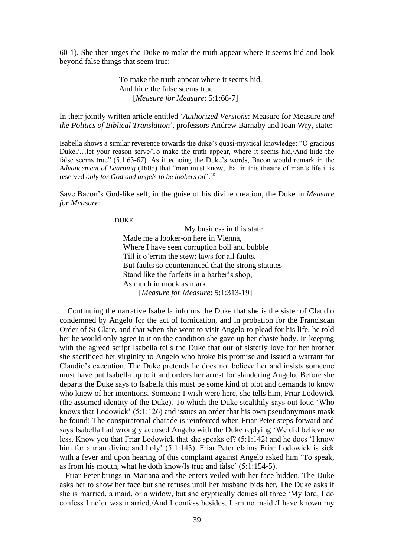60-1). She then urges the Duke to make the truth appear where it seems hid and look beyond false things that seem true:

> To make the truth appear where it seems hid, And hide the false seems true. [*Measure for Measure*: 5:1:66-7]

### In their jointly written article entitled '*Authorized Versions*: Measure for Measure *and the Politics of Biblical Translation*', professors Andrew Barnaby and Joan Wry, state:

Isabella shows a similar reverence towards the duke's quasi-mystical knowledge: "O gracious Duke,/…let your reason serve/To make the truth appear, where it seems hid,/And hide the false seems true" (5.1.63-67). As if echoing the Duke's words, Bacon would remark in the *Advancement of Learning* (1605) that "men must know, that in this theatre of man's life it is reserved *only for God and angels to be lookers on*".<sup>86</sup>

Save Bacon's God-like self, in the guise of his divine creation, the Duke in *Measure for Measure*:

#### DUKE

 My business in this state Made me a looker-on here in Vienna, Where I have seen corruption boil and bubble Till it o'errun the stew; laws for all faults, But faults so countenanced that the strong statutes Stand like the forfeits in a barber's shop, As much in mock as mark [*Measure for Measure*: 5:1:313-19]

 Continuing the narrative Isabella informs the Duke that she is the sister of Claudio condemned by Angelo for the act of fornication, and in probation for the Franciscan Order of St Clare, and that when she went to visit Angelo to plead for his life, he told her he would only agree to it on the condition she gave up her chaste body. In keeping with the agreed script Isabella tells the Duke that out of sisterly love for her brother she sacrificed her virginity to Angelo who broke his promise and issued a warrant for Claudio's execution. The Duke pretends he does not believe her and insists someone must have put Isabella up to it and orders her arrest for slandering Angelo. Before she departs the Duke says to Isabella this must be some kind of plot and demands to know who knew of her intentions. Someone I wish were here, she tells him, Friar Lodowick (the assumed identity of the Duke). To which the Duke stealthily says out loud 'Who knows that Lodowick' (5:1:126) and issues an order that his own pseudonymous mask be found! The conspiratorial charade is reinforced when Friar Peter steps forward and says Isabella had wrongly accused Angelo with the Duke replying 'We did believe no less. Know you that Friar Lodowick that she speaks of? (5:1:142) and he does 'I know him for a man divine and holy' (5:1:143). Friar Peter claims Friar Lodowick is sick with a fever and upon hearing of this complaint against Angelo asked him 'To speak, as from his mouth, what he doth know/Is true and false' (5:1:154-5).

 Friar Peter brings in Mariana and she enters veiled with her face hidden. The Duke asks her to show her face but she refuses until her husband bids her. The Duke asks if she is married, a maid, or a widow, but she cryptically denies all three 'My lord, I do confess I ne'er was married,/And I confess besides, I am no maid./I have known my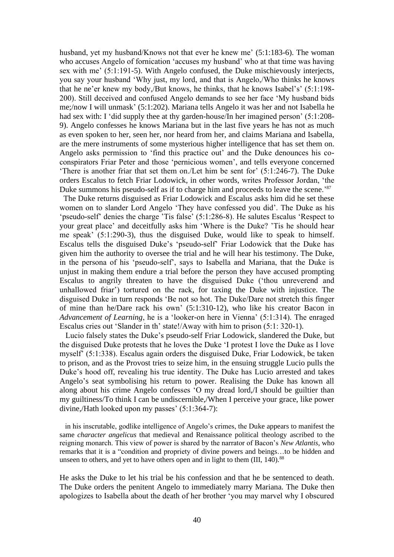husband, yet my husband/Knows not that ever he knew me' (5:1:183-6). The woman who accuses Angelo of fornication 'accuses my husband' who at that time was having sex with me' (5:1:191-5). With Angelo confused, the Duke mischievously interjects, you say your husband 'Why just, my lord, and that is Angelo,/Who thinks he knows that he ne'er knew my body,/But knows, he thinks, that he knows Isabel's' (5:1:198- 200). Still deceived and confused Angelo demands to see her face 'My husband bids me;/now I will unmask' (5:1:202). Mariana tells Angelo it was her and not Isabella he had sex with: I 'did supply thee at thy garden-house/In her imagined person' (5:1:208- 9). Angelo confesses he knows Mariana but in the last five years he has not as much as even spoken to her, seen her, nor heard from her, and claims Mariana and Isabella, are the mere instruments of some mysterious higher intelligence that has set them on. Angelo asks permission to 'find this practice out' and the Duke denounces his coconspirators Friar Peter and those 'pernicious women', and tells everyone concerned 'There is another friar that set them on./Let him be sent for' (5:1:246-7). The Duke orders Escalus to fetch Friar Lodowick, in other words, writes Professor Jordan, 'the Duke summons his pseudo-self as if to charge him and proceeds to leave the scene.<sup>87</sup>

 The Duke returns disguised as Friar Lodowick and Escalus asks him did he set these women on to slander Lord Angelo 'They have confessed you did'. The Duke as his 'pseudo-self' denies the charge 'Tis false' (5:1:286-8). He salutes Escalus 'Respect to your great place' and deceitfully asks him 'Where is the Duke? 'Tis he should hear me speak' (5:1:290-3), thus the disguised Duke, would like to speak to himself. Escalus tells the disguised Duke's 'pseudo-self' Friar Lodowick that the Duke has given him the authority to oversee the trial and he will hear his testimony. The Duke, in the persona of his 'pseudo-self', says to Isabella and Mariana, that the Duke is unjust in making them endure a trial before the person they have accused prompting Escalus to angrily threaten to have the disguised Duke ('thou unreverend and unhallowed friar') tortured on the rack, for taxing the Duke with injustice. The disguised Duke in turn responds 'Be not so hot. The Duke/Dare not stretch this finger of mine than he/Dare rack his own' (5:1:310-12), who like his creator Bacon in *Advancement of Learning*, he is a 'looker-on here in Vienna' (5:1:314). The enraged Escalus cries out 'Slander in th' state!/Away with him to prison (5:1: 320-1).

 Lucio falsely states the Duke's pseudo-self Friar Lodowick, slandered the Duke, but the disguised Duke protests that he loves the Duke 'I protest I love the Duke as I love myself' (5:1:338). Escalus again orders the disguised Duke, Friar Lodowick, be taken to prison, and as the Provost tries to seize him, in the ensuing struggle Lucio pulls the Duke's hood off, revealing his true identity. The Duke has Lucio arrested and takes Angelo's seat symbolising his return to power. Realising the Duke has known all along about his crime Angelo confesses 'O my dread lord,/I should be guiltier than my guiltiness/To think I can be undiscernible,/When I perceive your grace, like power divine,/Hath looked upon my passes' (5:1:364-7):

 in his inscrutable, godlike intelligence of Angelo's crimes, the Duke appears to manifest the same *character angelicus* that medieval and Renaissance political theology ascribed to the reigning monarch. This view of power is shared by the narrator of Bacon's *New Atlantis*, who remarks that it is a "condition and propriety of divine powers and beings…to be hidden and unseen to others, and yet to have others open and in light to them  $(III, 140)$ <sup>88</sup>

He asks the Duke to let his trial be his confession and that he be sentenced to death. The Duke orders the penitent Angelo to immediately marry Mariana. The Duke then apologizes to Isabella about the death of her brother 'you may marvel why I obscured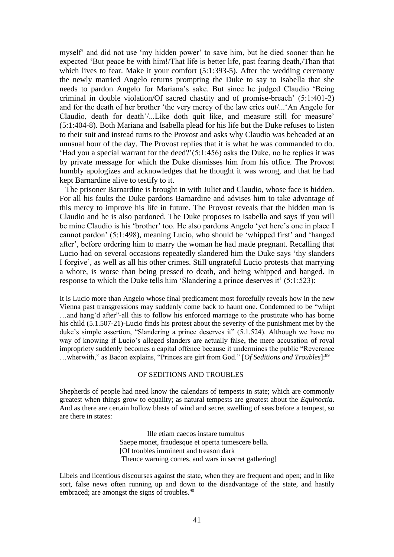myself' and did not use 'my hidden power' to save him, but he died sooner than he expected 'But peace be with him!/That life is better life, past fearing death,/Than that which lives to fear. Make it your comfort (5:1:393-5). After the wedding ceremony the newly married Angelo returns prompting the Duke to say to Isabella that she needs to pardon Angelo for Mariana's sake. But since he judged Claudio 'Being criminal in double violation/Of sacred chastity and of promise-breach' (5:1:401-2) and for the death of her brother 'the very mercy of the law cries out/...'An Angelo for Claudio, death for death'/...Like doth quit like, and measure still for measure' (5:1:404-8). Both Mariana and Isabella plead for his life but the Duke refuses to listen to their suit and instead turns to the Provost and asks why Claudio was beheaded at an unusual hour of the day. The Provost replies that it is what he was commanded to do. 'Had you a special warrant for the deed?'(5:1:456) asks the Duke, no he replies it was by private message for which the Duke dismisses him from his office. The Provost humbly apologizes and acknowledges that he thought it was wrong, and that he had kept Barnardine alive to testify to it.

 The prisoner Barnardine is brought in with Juliet and Claudio, whose face is hidden. For all his faults the Duke pardons Barnardine and advises him to take advantage of this mercy to improve his life in future. The Provost reveals that the hidden man is Claudio and he is also pardoned. The Duke proposes to Isabella and says if you will be mine Claudio is his 'brother' too. He also pardons Angelo 'yet here's one in place I cannot pardon' (5:1:498), meaning Lucio, who should be 'whipped first' and 'hanged after', before ordering him to marry the woman he had made pregnant. Recalling that Lucio had on several occasions repeatedly slandered him the Duke says 'thy slanders I forgive', as well as all his other crimes. Still ungrateful Lucio protests that marrying a whore, is worse than being pressed to death, and being whipped and hanged. In response to which the Duke tells him 'Slandering a prince deserves it' (5:1:523):

It is Lucio more than Angelo whose final predicament most forcefully reveals how in the new Vienna past transgressions may suddenly come back to haunt one. Condemned to be "whipt …and hang'd after"-all this to follow his enforced marriage to the prostitute who has borne his child (5.1.507-21)-Lucio finds his protest about the severity of the punishment met by the duke's simple assertion, "Slandering a prince deserves it" (5.1.524). Although we have no way of knowing if Lucio's alleged slanders are actually false, the mere accusation of royal impropriety suddenly becomes a capital offence because it undermines the public "Reverence …wherwith," as Bacon explains, "Princes are girt from God." [*Of Seditions and Troubles*]: 89

#### OF SEDITIONS AND TROUBLES

Shepherds of people had need know the calendars of tempests in state; which are commonly greatest when things grow to equality; as natural tempests are greatest about the *Equinoctia*. And as there are certain hollow blasts of wind and secret swelling of seas before a tempest, so are there in states:

> Ille etiam caecos instare tumultus Saepe monet, fraudesque et operta tumescere bella. [Of troubles imminent and treason dark Thence warning comes, and wars in secret gathering]

Libels and licentious discourses against the state, when they are frequent and open; and in like sort, false news often running up and down to the disadvantage of the state, and hastily embraced; are amongst the signs of troubles.<sup>90</sup>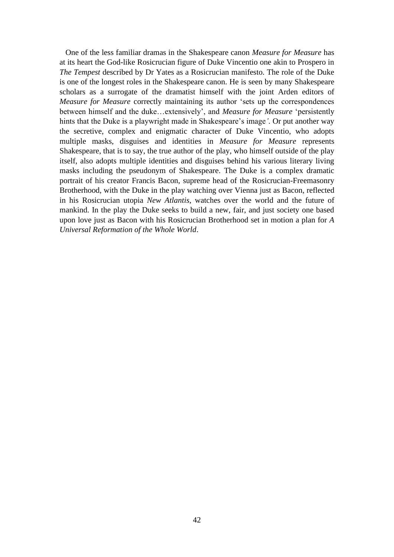One of the less familiar dramas in the Shakespeare canon *Measure for Measure* has at its heart the God-like Rosicrucian figure of Duke Vincentio one akin to Prospero in *The Tempest* described by Dr Yates as a Rosicrucian manifesto. The role of the Duke is one of the longest roles in the Shakespeare canon. He is seen by many Shakespeare scholars as a surrogate of the dramatist himself with the joint Arden editors of *Measure for Measure* correctly maintaining its author 'sets up the correspondences between himself and the duke…extensively', and *Measure for Measure* 'persistently hints that the Duke is a playwright made in Shakespeare's image*'*. Or put another way the secretive, complex and enigmatic character of Duke Vincentio, who adopts multiple masks, disguises and identities in *Measure for Measure* represents Shakespeare, that is to say, the true author of the play, who himself outside of the play itself, also adopts multiple identities and disguises behind his various literary living masks including the pseudonym of Shakespeare. The Duke is a complex dramatic portrait of his creator Francis Bacon, supreme head of the Rosicrucian-Freemasonry Brotherhood, with the Duke in the play watching over Vienna just as Bacon, reflected in his Rosicrucian utopia *New Atlantis*, watches over the world and the future of mankind. In the play the Duke seeks to build a new, fair, and just society one based upon love just as Bacon with his Rosicrucian Brotherhood set in motion a plan for *A Universal Reformation of the Whole World*.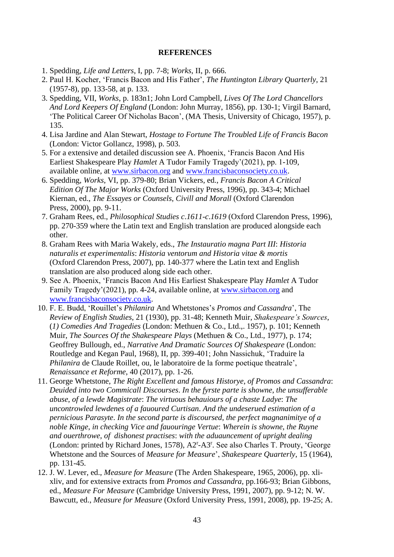### **REFERENCES**

- 1. Spedding, *Life and Letters*, I, pp. 7-8; *Works*, II, p. 666.
- 2. Paul H. Kocher, 'Francis Bacon and His Father', *The Huntington Library Quarterly*, 21 (1957-8), pp. 133-58, at p. 133.
- 3. Spedding, VII, *Works*, p. 183n1; John Lord Campbell, *Lives Of The Lord Chancellors And Lord Keepers Of England* (London: John Murray, 1856), pp. 130-1; Virgil Barnard, 'The Political Career Of Nicholas Bacon', (MA Thesis, University of Chicago, 1957), p. 135.
- 4. Lisa Jardine and Alan Stewart, *Hostage to Fortune The Troubled Life of Francis Bacon* (London: Victor Gollancz, 1998), p. 503.
- 5. For a extensive and detailed discussion see A. Phoenix, 'Francis Bacon And His Earliest Shakespeare Play *Hamlet* A Tudor Family Tragedy'(2021), pp. 1-109, available online, at [www.sirbacon.org](http://www.sirbacon.org/) and [www.francisbaconsociety.co.uk.](http://www.francisbaconsociety.co.uk/)
- 6. Spedding, *Works*, VI, pp. 379-80; Brian Vickers, ed., *Francis Bacon A Critical Edition Of The Major Works* (Oxford University Press, 1996), pp. 343-4; Michael Kiernan, ed., *The Essayes or Counsels*, *Civill and Morall* (Oxford Clarendon Press, 2000), pp. 9-11.
- 7. Graham Rees, ed., *Philosophical Studies c*.*1611-c*.*1619* (Oxford Clarendon Press, 1996), pp. 270-359 where the Latin text and English translation are produced alongside each other.
- 8. Graham Rees with Maria Wakely, eds., *The Instauratio magna Part III*: *Historia naturalis et experimentalis*: *Historia ventorum and Historia vitae & mortis* (Oxford Clarendon Press, 2007), pp. 140-377 where the Latin text and English translation are also produced along side each other.
- 9. See A. Phoenix, 'Francis Bacon And His Earliest Shakespeare Play *Hamlet* A Tudor Family Tragedy'(2021), pp. 4-24, available online, at [www.sirbacon.org](http://www.sirbacon.org/) and [www.francisbaconsociety.co.uk.](http://www.francisbaconsociety.co.uk/)
- 10. F. E. Budd, 'Rouillet's *Philanira* And Whetstones's *Promos and Cassandra*', The  *Review of English Studies*, 21 (1930), pp. 31-48; Kenneth Muir, *Shakespeare's Sources*, (*1) Comedies And Tragedies* (London: Methuen & Co., Ltd.,. 1957), p. 101; Kenneth Muir, *The Sources Of the Shakespeare Plays* (Methuen & Co., Ltd., 1977), p. 174; Geoffrey Bullough, ed., *Narrative And Dramatic Sources Of Shakespeare* (London: Routledge and Kegan Paul, 1968), II, pp. 399-401; John Nassichuk, 'Traduire la *Philanira* de Claude Roillet, ou, le laboratoire de la forme poetique theatrale',  *Renaissance et Reforme*, 40 (2017), pp. 1-26.
- 11. George Whetstone, *The Right Excellent and famous Historye*, *of Promos and Cassandra*: *Deuided into two Commicall Discourses*. *In the fyrste parte is showne*, *the unsufferable abuse*, *of a lewde Magistrate*: *The virtuous behauiours of a chaste Ladye*: *The uncontrowled lewdenes of a fauoured Curtisan*. *And the undeserued estimation of a pernicious Parasyte*. *In the second parte is discoursed*, *the perfect magnanimitye of a noble Kinge*, *in checking Vice and fauouringe Vertue*: *Wherein is showne*, *the Ruyne and ouerthrowe*, *of dishonest practises*: *with the aduauncement of upright dealing* (London: printed by Richard Jones, 1578), A2<sup>r</sup>-A3<sup>r</sup>. See also Charles T. Prouty, 'George Whetstone and the Sources of *Measure for Measure*', *Shakespeare Quarterly*, 15 (1964), pp. 131-45.
- 12. J. W. Lever, ed., *Measure for Measure* (The Arden Shakespeare, 1965, 2006), pp. xli xliv, and for extensive extracts from *Promos and Cassandra*, pp.166-93; Brian Gibbons, ed., *Measure For Measure* (Cambridge University Press, 1991, 2007), pp. 9-12; N. W. Bawcutt, ed., *Measure for Measure* (Oxford University Press, 1991, 2008), pp. 19-25; A.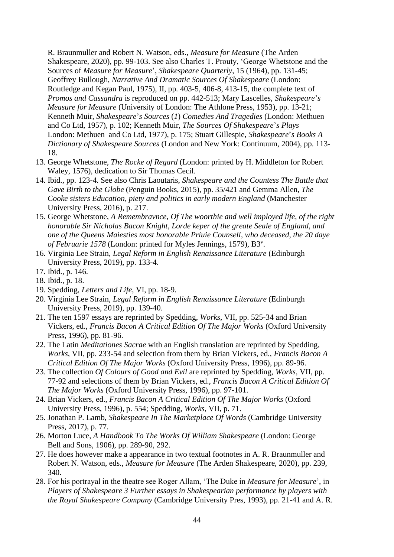R. Braunmuller and Robert N. Watson, eds., *Measure for Measure* (The Arden Shakespeare, 2020), pp. 99-103. See also Charles T. Prouty, 'George Whetstone and the Sources of *Measure for Measure*', *Shakespeare Quarterly*, 15 (1964), pp. 131-45; Geoffrey Bullough, *Narrative And Dramatic Sources Of Shakespeare* (London: Routledge and Kegan Paul, 1975), II, pp. 403-5, 406-8, 413-15, the complete text of *Promos and Cassandra* is reproduced on pp. 442-513; Mary Lascelles, *Shakespeare*'*s Measure for Measure* (University of London: The Athlone Press, 1953), pp. 13-21; Kenneth Muir, *Shakespeare*'*s Sources* (*1*) *Comedies And Tragedies* (London: Methuen and Co Ltd, 1957), p. 102; Kenneth Muir, *The Sources Of Shakespeare*'*s Plays* London: Methuen and Co Ltd, 1977), p. 175; Stuart Gillespie, *Shakespeare*'*s Books A Dictionary of Shakespeare Sources* (London and New York: Continuum, 2004), pp. 113- 18.

- 13. George Whetstone, *The Rocke of Regard* (London: printed by H. Middleton for Robert Waley, 1576), dedication to Sir Thomas Cecil.
- 14. Ibid., pp. 123-4. See also Chris Laoutaris, *Shakespeare and the Countess The Battle that Gave Birth to the Globe* (Penguin Books, 2015), pp. 35/421 and Gemma Allen, *The Cooke sisters Education*, *piety and politics in early modern England* (Manchester University Press, 2016), p. 217.
- 15. George Whetstone, *A Remembravnce*, *Of The woorthie and well imployed life*, *of the right honorable Sir Nicholas Bacon Knight*, *Lorde keper of the greate Seale of England*, *and one of the Queens Maiesties most honorable Priuie Counsell*, *who deceased*, *the 20 daye*  of Februarie 1578 (London: printed for Myles Jennings, 1579), B3<sup>v</sup>.
- 16. Virginia Lee Strain, *Legal Reform in English Renaissance Literature* (Edinburgh University Press, 2019), pp. 133-4.
- 17. Ibid., p. 146.
- 18. Ibid., p. 18.
- 19. Spedding, *Letters and Life*, VI, pp. 18-9.
- 20. Virginia Lee Strain, *Legal Reform in English Renaissance Literature* (Edinburgh University Press, 2019), pp. 139-40.
- 21. The ten 1597 essays are reprinted by Spedding, *Works*, VII, pp. 525-34 and Brian Vickers, ed., *Francis Bacon A Critical Edition Of The Major Works* (Oxford University Press, 1996), pp. 81-96.
- 22. The Latin *Meditationes Sacrae* with an English translation are reprinted by Spedding, *Works*, VII, pp. 233-54 and selection from them by Brian Vickers, ed., *Francis Bacon A Critical Edition Of The Major Works* (Oxford University Press, 1996), pp. 89-96.
- 23. The collection *Of Colours of Good and Evil* are reprinted by Spedding, *Works*, VII, pp. 77-92 and selections of them by Brian Vickers, ed., *Francis Bacon A Critical Edition Of The Major Works* (Oxford University Press, 1996), pp. 97-101.
- 24. Brian Vickers, ed., *Francis Bacon A Critical Edition Of The Major Works* (Oxford University Press, 1996), p. 554; Spedding, *Works*, VII, p. 71.
- 25. Jonathan P. Lamb, *Shakespeare In The Marketplace Of Words* (Cambridge University Press, 2017), p. 77.
- 26. Morton Luce, *A Handbook To The Works Of William Shakespeare* (London: George Bell and Sons, 1906), pp. 289-90, 292.
- 27. He does however make a appearance in two textual footnotes in A. R. Braunmuller and Robert N. Watson, eds., *Measure for Measure* (The Arden Shakespeare, 2020), pp. 239, 340.
- 28. For his portrayal in the theatre see Roger Allam, 'The Duke in *Measure for Measure*', in *Players of Shakespeare 3 Further essays in Shakespearian performance by players with the Royal Shakespeare Company* (Cambridge University Pres, 1993), pp. 21-41 and A. R.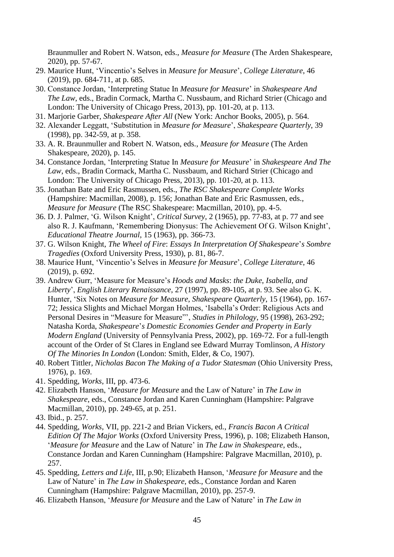Braunmuller and Robert N. Watson, eds., *Measure for Measure* (The Arden Shakespeare, 2020), pp. 57-67.

- 29. Maurice Hunt, 'Vincentio's Selves in *Measure for Measure*', *College Literature*, 46 (2019), pp. 684-711, at p. 685.
- 30. Constance Jordan, 'Interpreting Statue In *Measure for Measure*' in *Shakespeare And The Law*, eds., Bradin Cormack, Martha C. Nussbaum, and Richard Strier (Chicago and London: The University of Chicago Press, 2013), pp. 101-20, at p. 113.
- 31. Marjorie Garber, *Shakespeare After All* (New York: Anchor Books, 2005), p. 564.
- 32. Alexander Leggatt, 'Substitution in *Measure for Measure*', *Shakespeare Quarterly*, 39 (1998), pp. 342-59, at p. 358.
- 33. A. R. Braunmuller and Robert N. Watson, eds., *Measure for Measure* (The Arden Shakespeare, 2020), p. 145.
- 34. Constance Jordan, 'Interpreting Statue In *Measure for Measure*' in *Shakespeare And The Law*, eds., Bradin Cormack, Martha C. Nussbaum, and Richard Strier (Chicago and London: The University of Chicago Press, 2013), pp. 101-20, at p. 113.
- 35. Jonathan Bate and Eric Rasmussen, eds., *The RSC Shakespeare Complete Works* (Hampshire: Macmillan, 2008), p. 156; Jonathan Bate and Eric Rasmussen, eds., *Measure for Measure* (The RSC Shakespeare: Macmillan, 2010), pp. 4-5.
- 36. D. J. Palmer, 'G. Wilson Knight', *Critical Survey*, 2 (1965), pp. 77-83, at p. 77 and see also R. J. Kaufmann, 'Remembering Dionysus: The Achievement Of G. Wilson Knight', *Educational Theatre Journal*, 15 (1963), pp. 366-73.
- 37. G. Wilson Knight, *The Wheel of Fire*: *Essays In Interpretation Of Shakespeare*'*s Sombre Tragedies* (Oxford University Press, 1930), p. 81, 86-7.
- 38. Maurice Hunt, 'Vincentio's Selves in *Measure for Measure*', *College Literature*, 46 (2019), p. 692.
- 39. Andrew Gurr, 'Measure for Measure's *Hoods and Masks*: *the Duke*, *Isabella*, *and Liberty*', *English Literary Renaissance*, 27 (1997), pp. 89-105, at p. 93. See also G. K. Hunter, 'Six Notes on *Measure for Measure*, *Shakespeare Quarterly*, 15 (1964), pp. 167- 72; Jessica Slights and Michael Morgan Holmes, 'Isabella's Order: Religious Acts and Personal Desires in "Measure for Measure"', *Studies in Philology*, 95 (1998), 263-292; Natasha Korda, *Shakespeare*'*s Domestic Economies Gender and Property in Early Modern England* (University of Pennsylvania Press, 2002), pp. 169-72. For a full-length account of the Order of St Clares in England see Edward Murray Tomlinson, *A History Of The Minories In London* (London: Smith, Elder, & Co, 1907).
- 40. Robert Tittler, *Nicholas Bacon The Making of a Tudor Statesman* (Ohio University Press, 1976), p. 169.
- 41. Spedding, *Works*, III, pp. 473-6.
- 42. Elizabeth Hanson, '*Measure for Measure* and the Law of Nature' in *The Law in Shakespeare*, eds., Constance Jordan and Karen Cunningham (Hampshire: Palgrave Macmillan, 2010), pp. 249-65, at p. 251.
- 43. Ibid., p. 257.
- 44. Spedding, *Works*, VII, pp. 221-2 and Brian Vickers, ed., *Francis Bacon A Critical Edition Of The Major Works* (Oxford University Press, 1996), p. 108; Elizabeth Hanson, '*Measure for Measure* and the Law of Nature' in *The Law in Shakespeare*, eds., Constance Jordan and Karen Cunningham (Hampshire: Palgrave Macmillan, 2010), p. 257.
- 45. Spedding, *Letters and Life*, III, p.90; Elizabeth Hanson, '*Measure for Measure* and the Law of Nature' in *The Law in Shakespeare*, eds., Constance Jordan and Karen Cunningham (Hampshire: Palgrave Macmillan, 2010), pp. 257-9.
- 46. Elizabeth Hanson, '*Measure for Measure* and the Law of Nature' in *The Law in*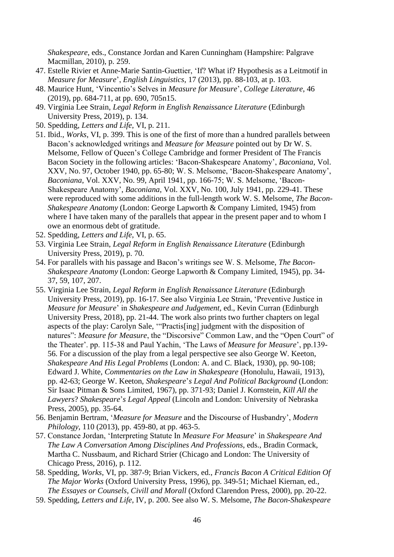*Shakespeare*, eds., Constance Jordan and Karen Cunningham (Hampshire: Palgrave Macmillan, 2010), p. 259.

- 47. Estelle Rivier et Anne-Marie Santin-Guettier, 'If? What if? Hypothesis as a Leitmotif in *Measure for Measure*', *English Linguistics*, 17 (2013), pp. 88-103, at p. 103.
- 48. Maurice Hunt, 'Vincentio's Selves in *Measure for Measure*', *College Literature*, 46 (2019), pp. 684-711, at pp. 690, 705n15.
- 49. Virginia Lee Strain, *Legal Reform in English Renaissance Literature* (Edinburgh University Press, 2019), p. 134.
- 50. Spedding, *Letters and Life*, VI, p. 211.
- 51. Ibid., *Works*, VI, p. 399. This is one of the first of more than a hundred parallels between Bacon's acknowledged writings and *Measure for Measure* pointed out by Dr W. S. Melsome, Fellow of Queen's College Cambridge and former President of The Francis Bacon Society in the following articles: 'Bacon-Shakespeare Anatomy', *Baconiana*, Vol. XXV, No. 97, October 1940, pp. 65-80; W. S. Melsome, 'Bacon-Shakespeare Anatomy', *Baconiana*, Vol. XXV, No. 99, April 1941, pp. 166-75; W. S. Melsome, 'Bacon- Shakespeare Anatomy', *Baconiana*, Vol. XXV, No. 100, July 1941, pp. 229-41. These were reproduced with some additions in the full-length work W. S. Melsome, *The Bacon- Shakespeare Anatomy* (London: George Lapworth & Company Limited, 1945) from where I have taken many of the parallels that appear in the present paper and to whom I owe an enormous debt of gratitude.
- 52. Spedding, *Letters and Life*, VI, p. 65.
- 53. Virginia Lee Strain, *Legal Reform in English Renaissance Literature* (Edinburgh University Press, 2019), p. 70.
- 54. For parallels with his passage and Bacon's writings see W. S. Melsome, *The Bacon- Shakespeare Anatomy* (London: George Lapworth & Company Limited, 1945), pp. 34- 37, 59, 107, 207.
- 55. Virginia Lee Strain, *Legal Reform in English Renaissance Literature* (Edinburgh University Press, 2019), pp. 16-17. See also Virginia Lee Strain, 'Preventive Justice in *Measure for Measure*' in *Shakespeare and Judgement*, ed., Kevin Curran (Edinburgh University Press, 2018), pp. 21-44. The work also prints two further chapters on legal aspects of the play: Carolyn Sale, '"Practis[ing] judgment with the disposition of natures": *Measure for Measure*, the "Discorsive" Common Law, and the "Open Court" of the Theater'. pp. 115-38 and Paul Yachin, 'The Laws of *Measure for Measure*', pp.139- 56. For a discussion of the play from a legal perspective see also George W. Keeton, *Shakespeare And His Legal Problems* (London: A. and C. Black, 1930), pp. 90-108; Edward J. White, *Commentaries on the Law in Shakespeare* (Honolulu, Hawaii, 1913), pp. 42-63; George W. Keeton, *Shakespeare*'*s Legal And Political Background* (London: Sir Isaac Pitman & Sons Limited, 1967), pp. 371-93; Daniel J. Kornstein, *Kill All the Lawyers*? *Shakespeare*'*s Legal Appeal* (Lincoln and London: University of Nebraska Press, 2005), pp. 35-64.
- 56. Benjamin Bertram, '*Measure for Measure* and the Discourse of Husbandry', *Modern Philology*, 110 (2013), pp. 459-80, at pp. 463-5.
- 57. Constance Jordan, 'Interpreting Statute In *Measure For Measure*' in *Shakespeare And The Law A Conversation Among Disciplines And Professions*, eds., Bradin Cormack, Martha C. Nussbaum, and Richard Strier (Chicago and London: The University of Chicago Press, 2016), p. 112.
- 58. Spedding, *Works*, VI, pp. 387-9; Brian Vickers, ed., *Francis Bacon A Critical Edition Of The Major Works* (Oxford University Press, 1996), pp. 349-51; Michael Kiernan, ed.,  *The Essayes or Counsels*, *Civill and Morall* (Oxford Clarendon Press, 2000), pp. 20-22.
- 59. Spedding, *Letters and Life*, IV, p. 200. See also W. S. Melsome, *The Bacon-Shakespeare*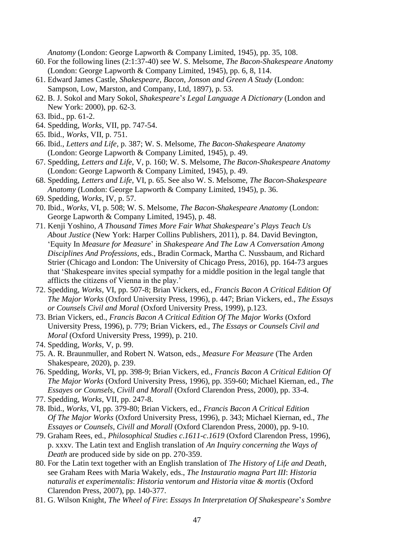*Anatomy* (London: George Lapworth & Company Limited, 1945), pp. 35, 108.

- 60. For the following lines (2:1:37-40) see W. S. Melsome, *The Bacon-Shakespeare Anatomy* (London: George Lapworth & Company Limited, 1945), pp. 6, 8, 114.
- 61. Edward James Castle, *Shakespeare*, *Bacon*, *Jonson and Green A Study* (London: Sampson, Low, Marston, and Company, Ltd, 1897), p. 53.
- 62. B. J. Sokol and Mary Sokol, *Shakespeare*'*s Legal Language A Dictionary* (London and New York: 2000), pp. 62-3.
- 63. Ibid., pp. 61-2.
- 64. Spedding, *Works*, VII, pp. 747-54.
- 65. Ibid., *Works*, VII, p. 751.
- 66. Ibid., *Letters and Life*, p. 387; W. S. Melsome, *The Bacon-Shakespeare Anatomy* (London: George Lapworth & Company Limited, 1945), p. 49.
- 67. Spedding, *Letters and Life*, V, p. 160; W. S. Melsome, *The Bacon-Shakespeare Anatomy* (London: George Lapworth & Company Limited, 1945), p. 49.
- 68. Spedding, *Letters and Life*, VI, p. 65. See also W. S. Melsome, *The Bacon-Shakespeare Anatomy* (London: George Lapworth & Company Limited, 1945), p. 36.
- 69. Spedding, *Works*, IV, p. 57.
- 70. Ibid., *Works*, VI, p. 508; W. S. Melsome, *The Bacon-Shakespeare Anatomy* (London: George Lapworth & Company Limited, 1945), p. 48.
- 71. Kenji Yoshino, *A Thousand Times More Fair What Shakespeare*'*s Plays Teach Us About Justice* (New York: Harper Collins Publishers, 2011), p. 84. David Bevington, 'Equity In *Measure for Measure*' in *Shakespeare And The Law A Conversation Among Disciplines And Professions*, eds., Bradin Cormack, Martha C. Nussbaum, and Richard Strier (Chicago and London: The University of Chicago Press, 2016), pp. 164-73 argues that 'Shakespeare invites special sympathy for a middle position in the legal tangle that afflicts the citizens of Vienna in the play.'
- 72. Spedding, *Works*, VI, pp. 507-8; Brian Vickers, ed., *Francis Bacon A Critical Edition Of The Major Works* (Oxford University Press, 1996), p. 447; Brian Vickers, ed., *The Essays or Counsels Civil and Moral* (Oxford University Press, 1999), p.123.
- 73. Brian Vickers, ed., *Francis Bacon A Critical Edition Of The Major Works* (Oxford University Press, 1996), p. 779; Brian Vickers, ed., *The Essays or Counsels Civil and Moral* (Oxford University Press, 1999), p. 210.
- 74. Spedding, *Works*, V, p. 99.
- 75. A. R. Braunmuller, and Robert N. Watson, eds., *Measure For Measure* (The Arden Shakespeare, 2020), p. 239.
- 76. Spedding, *Works*, VI, pp. 398-9; Brian Vickers, ed., *Francis Bacon A Critical Edition Of The Major Works* (Oxford University Press, 1996), pp. 359-60; Michael Kiernan, ed., *The Essayes or Counsels*, *Civill and Morall* (Oxford Clarendon Press, 2000), pp. 33-4.
- 77. Spedding, *Works*, VII, pp. 247-8.
- 78. Ibid., *Works*, VI, pp. 379-80; Brian Vickers, ed., *Francis Bacon A Critical Edition Of The Major Works* (Oxford University Press, 1996), p. 343; Michael Kiernan, ed., *The Essayes or Counsels*, *Civill and Morall* (Oxford Clarendon Press, 2000), pp. 9-10.
- 79. Graham Rees, ed., *Philosophical Studies c*.*1611-c*.*1619* (Oxford Clarendon Press, 1996), p. xxxv. The Latin text and English translation of *An Inquiry concerning the Ways of Death* are produced side by side on pp. 270-359.
- 80. For the Latin text together with an English translation of *The History of Life and Death*, see Graham Rees with Maria Wakely, eds., *The Instauratio magna Part III*: *Historia naturalis et experimentalis*: *Historia ventorum and Historia vitae & mortis* (Oxford Clarendon Press, 2007), pp. 140-377.
- 81. G. Wilson Knight, *The Wheel of Fire*: *Essays In Interpretation Of Shakespeare*'*s Sombre*